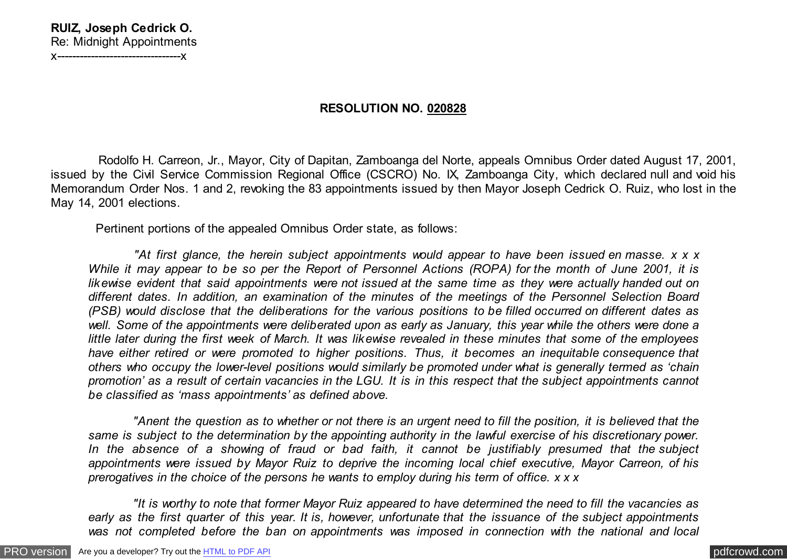#### **RUIZ, Joseph Cedrick O.** Re: Midnight Appointments x---------------------------------x

### **RESOLUTION NO. 020828**

 Rodolfo H. Carreon, Jr., Mayor, City of Dapitan, Zamboanga del Norte, appeals Omnibus Order dated August 17, 2001, issued by the Civil Service Commission Regional Office (CSCRO) No. IX, Zamboanga City, which declared null and void his Memorandum Order Nos. 1 and 2, revoking the 83 appointments issued by then Mayor Joseph Cedrick O. Ruiz, who lost in the May 14, 2001 elections.

Pertinent portions of the appealed Omnibus Order state, as follows:

 *"At first glance, the herein subject appointments would appear to have been issued en masse. x x x While it may appear to be so per the Report of Personnel Actions (ROPA) for the month of June 2001, it is likewise evident that said appointments were not issued at the same time as they were actually handed out on different dates. In addition, an examination of the minutes of the meetings of the Personnel Selection Board (PSB) would disclose that the deliberations for the various positions to be filled occurred on different dates as well. Some of the appointments were deliberated upon as early as January, this year while the others were done a little later during the first week of March. It was likewise revealed in these minutes that some of the employees have either retired or were promoted to higher positions. Thus, it becomes an inequitable consequence that others who occupy the lower-level positions would similarly be promoted under what is generally termed as 'chain promotion' as a result of certain vacancies in the LGU. It is in this respect that the subject appointments cannot be classified as 'mass appointments' as defined above.*

 *"Anent the question as to whether or not there is an urgent need to fill the position, it is believed that the same is subject to the determination by the appointing authority in the lawful exercise of his discretionary power. In the absence of a showing of fraud or bad faith, it cannot be justifiably presumed that the subject appointments were issued by Mayor Ruiz to deprive the incoming local chief executive, Mayor Carreon, of his prerogatives in the choice of the persons he wants to employ during his term of office. x x x*

 *"It is worthy to note that former Mayor Ruiz appeared to have determined the need to fill the vacancies as early as the first quarter of this year. It is, however, unfortunate that the issuance of the subject appointments was not completed before the ban on appointments was imposed in connection with the national and local*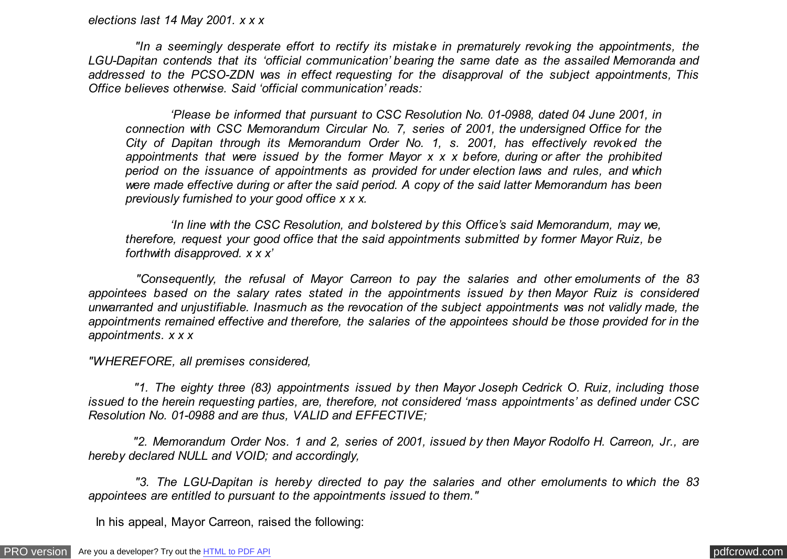*"In a seemingly desperate effort to rectify its mistake in prematurely revoking the appointments, the LGU-Dapitan contends that its 'official communication' bearing the same date as the assailed Memoranda and addressed to the PCSO-ZDN was in effect requesting for the disapproval of the subject appointments, This Office believes otherwise. Said 'official communication' reads:*

 *'Please be informed that pursuant to CSC Resolution No. 01-0988, dated 04 June 2001, in connection with CSC Memorandum Circular No. 7, series of 2001, the undersigned Office for the City of Dapitan through its Memorandum Order No. 1, s. 2001, has effectively revoked the appointments that were issued by the former Mayor x x x before, during or after the prohibited period on the issuance of appointments as provided for under election laws and rules, and which were made effective during or after the said period. A copy of the said latter Memorandum has been previously furnished to your good office x x x.*

 *'In line with the CSC Resolution, and bolstered by this Office's said Memorandum, may we, therefore, request your good office that the said appointments submitted by former Mayor Ruiz, be forthwith disapproved. x x x'*

 *"Consequently, the refusal of Mayor Carreon to pay the salaries and other emoluments of the 83 appointees based on the salary rates stated in the appointments issued by then Mayor Ruiz is considered unwarranted and unjustifiable. Inasmuch as the revocation of the subject appointments was not validly made, the appointments remained effective and therefore, the salaries of the appointees should be those provided for in the appointments. x x x*

*"WHEREFORE, all premises considered,*

 *"1. The eighty three (83) appointments issued by then Mayor Joseph Cedrick O. Ruiz, including those issued to the herein requesting parties, are, therefore, not considered 'mass appointments' as defined under CSC Resolution No. 01-0988 and are thus, VALID and EFFECTIVE;*

 *"2. Memorandum Order Nos. 1 and 2, series of 2001, issued by then Mayor Rodolfo H. Carreon, Jr., are hereby declared NULL and VOID; and accordingly,*

 *"3. The LGU-Dapitan is hereby directed to pay the salaries and other emoluments to which the 83 appointees are entitled to pursuant to the appointments issued to them."*

In his appeal, Mayor Carreon, raised the following: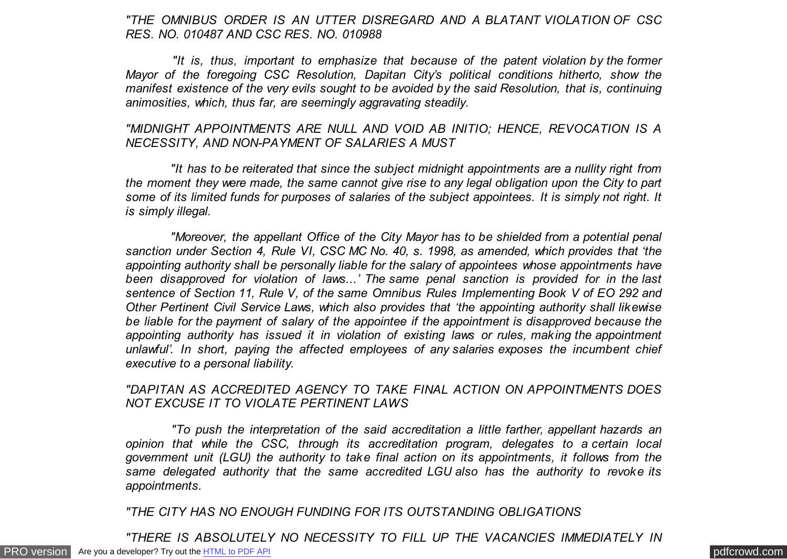*"THE OMNIBUS ORDER IS AN UTTER DISREGARD AND A BLATANT VIOLATION OF CSC RES. NO. 010487 AND CSC RES. NO. 010988*

 *"It is, thus, important to emphasize that because of the patent violation by the former Mayor of the foregoing CSC Resolution, Dapitan City's political conditions hitherto, show the manifest existence of the very evils sought to be avoided by the said Resolution, that is, continuing animosities, which, thus far, are seemingly aggravating steadily.*

#### *"MIDNIGHT APPOINTMENTS ARE NULL AND VOID AB INITIO; HENCE, REVOCATION IS A NECESSITY, AND NON-PAYMENT OF SALARIES A MUST*

 *"It has to be reiterated that since the subject midnight appointments are a nullity right from the moment they were made, the same cannot give rise to any legal obligation upon the City to part some of its limited funds for purposes of salaries of the subject appointees. It is simply not right. It is simply illegal.*

 *"Moreover, the appellant Office of the City Mayor has to be shielded from a potential penal sanction under Section 4, Rule VI, CSC MC No. 40, s. 1998, as amended, which provides that 'the appointing authority shall be personally liable for the salary of appointees whose appointments have been disapproved for violation of laws...' The same penal sanction is provided for in the last sentence of Section 11, Rule V, of the same Omnibus Rules Implementing Book V of EO 292 and Other Pertinent Civil Service Laws, which also provides that 'the appointing authority shall likewise be liable for the payment of salary of the appointee if the appointment is disapproved because the appointing authority has issued it in violation of existing laws or rules, making the appointment unlawful'. In short, paying the affected employees of any salaries exposes the incumbent chief executive to a personal liability.*

### *"DAPITAN AS ACCREDITED AGENCY TO TAKE FINAL ACTION ON APPOINTMENTS DOES NOT EXCUSE IT TO VIOLATE PERTINENT LAWS*

 *"To push the interpretation of the said accreditation a little farther, appellant hazards an opinion that while the CSC, through its accreditation program, delegates to a certain local government unit (LGU) the authority to take final action on its appointments, it follows from the same delegated authority that the same accredited LGU also has the authority to revoke its appointments.*

*"THE CITY HAS NO ENOUGH FUNDING FOR ITS OUTSTANDING OBLIGATIONS*

[PRO version](http://pdfcrowd.com/customize/) Are you a developer? Try out th[e HTML to PDF API](http://pdfcrowd.com/html-to-pdf-api/?ref=pdf) provided and the example of the HTML to PDF API [pdfcrowd.com](http://pdfcrowd.com) *"THERE IS ABSOLUTELY NO NECESSITY TO FILL UP THE VACANCIES IMMEDIATELY IN*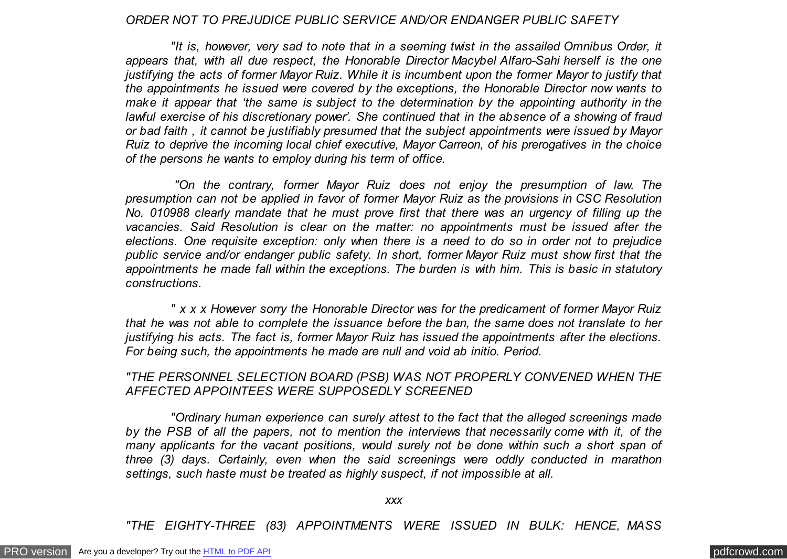#### *ORDER NOT TO PREJUDICE PUBLIC SERVICE AND/OR ENDANGER PUBLIC SAFETY*

 *"It is, however, very sad to note that in a seeming twist in the assailed Omnibus Order, it appears that, with all due respect, the Honorable Director Macybel Alfaro-Sahi herself is the one justifying the acts of former Mayor Ruiz. While it is incumbent upon the former Mayor to justify that the appointments he issued were covered by the exceptions, the Honorable Director now wants to make it appear that 'the same is subject to the determination by the appointing authority in the lawful exercise of his discretionary power'. She continued that in the absence of a showing of fraud or bad faith , it cannot be justifiably presumed that the subject appointments were issued by Mayor Ruiz to deprive the incoming local chief executive, Mayor Carreon, of his prerogatives in the choice of the persons he wants to employ during his term of office.*

 *"On the contrary, former Mayor Ruiz does not enjoy the presumption of law. The presumption can not be applied in favor of former Mayor Ruiz as the provisions in CSC Resolution No. 010988 clearly mandate that he must prove first that there was an urgency of filling up the vacancies. Said Resolution is clear on the matter: no appointments must be issued after the elections. One requisite exception: only when there is a need to do so in order not to prejudice public service and/or endanger public safety. In short, former Mayor Ruiz must show first that the appointments he made fall within the exceptions. The burden is with him. This is basic in statutory constructions.*

 *" x x x However sorry the Honorable Director was for the predicament of former Mayor Ruiz that he was not able to complete the issuance before the ban, the same does not translate to her justifying his acts. The fact is, former Mayor Ruiz has issued the appointments after the elections. For being such, the appointments he made are null and void ab initio. Period.*

#### *"THE PERSONNEL SELECTION BOARD (PSB) WAS NOT PROPERLY CONVENED WHEN THE AFFECTED APPOINTEES WERE SUPPOSEDLY SCREENED*

 *"Ordinary human experience can surely attest to the fact that the alleged screenings made by the PSB of all the papers, not to mention the interviews that necessarily come with it, of the many applicants for the vacant positions, would surely not be done within such a short span of three (3) days. Certainly, even when the said screenings were oddly conducted in marathon settings, such haste must be treated as highly suspect, if not impossible at all.*

*xxx*

*"THE EIGHTY-THREE (83) APPOINTMENTS WERE ISSUED IN BULK: HENCE, MASS*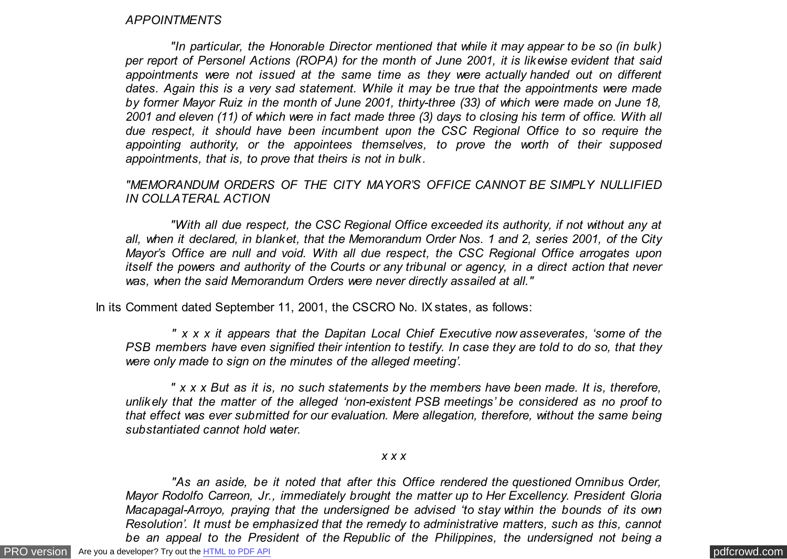#### *APPOINTMENTS*

 *"In particular, the Honorable Director mentioned that while it may appear to be so (in bulk) per report of Personel Actions (ROPA) for the month of June 2001, it is likewise evident that said appointments were not issued at the same time as they were actually handed out on different dates. Again this is a very sad statement. While it may be true that the appointments were made by former Mayor Ruiz in the month of June 2001, thirty-three (33) of which were made on June 18, 2001 and eleven (11) of which were in fact made three (3) days to closing his term of office. With all due respect, it should have been incumbent upon the CSC Regional Office to so require the appointing authority, or the appointees themselves, to prove the worth of their supposed appointments, that is, to prove that theirs is not in bulk.*

#### *"MEMORANDUM ORDERS OF THE CITY MAYOR'S OFFICE CANNOT BE SIMPLY NULLIFIED IN COLLATERAL ACTION*

 *"With all due respect, the CSC Regional Office exceeded its authority, if not without any at all, when it declared, in blanket, that the Memorandum Order Nos. 1 and 2, series 2001, of the City Mayor's Office are null and void. With all due respect, the CSC Regional Office arrogates upon itself the powers and authority of the Courts or any tribunal or agency, in a direct action that never was, when the said Memorandum Orders were never directly assailed at all."*

In its Comment dated September 11, 2001, the CSCRO No. IX states, as follows:

 *" x x x it appears that the Dapitan Local Chief Executive now asseverates, 'some of the PSB members have even signified their intention to testify. In case they are told to do so, that they were only made to sign on the minutes of the alleged meeting'.*

 *" x x x But as it is, no such statements by the members have been made. It is, therefore, unlikely that the matter of the alleged 'non-existent PSB meetings' be considered as no proof to that effect was ever submitted for our evaluation. Mere allegation, therefore, without the same being substantiated cannot hold water.*

#### *x x x*

 *"As an aside, be it noted that after this Office rendered the questioned Omnibus Order, Mayor Rodolfo Carreon, Jr., immediately brought the matter up to Her Excellency. President Gloria Macapagal-Arroyo, praying that the undersigned be advised 'to stay within the bounds of its own Resolution'. It must be emphasized that the remedy to administrative matters, such as this, cannot be an appeal to the President of the Republic of the Philippines, the undersigned not being a*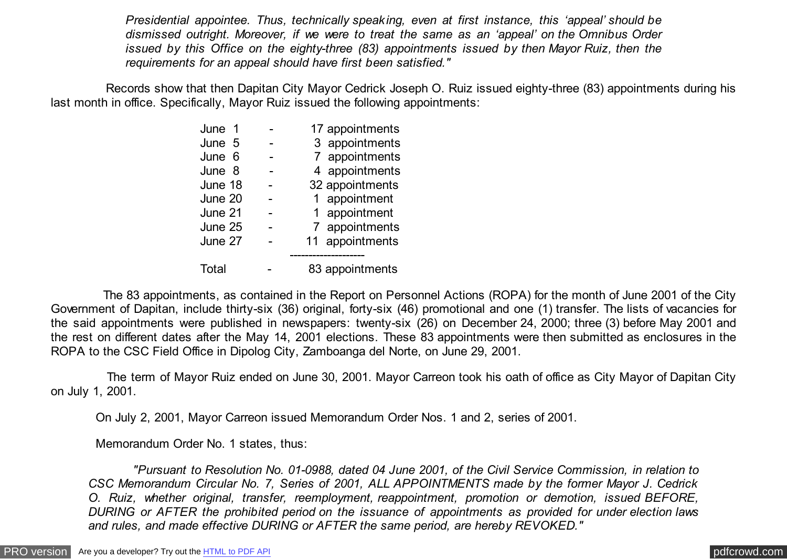*Presidential appointee. Thus, technically speaking, even at first instance, this 'appeal' should be dismissed outright. Moreover, if we were to treat the same as an 'appeal' on the Omnibus Order issued by this Office on the eighty-three (83) appointments issued by then Mayor Ruiz, then the requirements for an appeal should have first been satisfied."*

 Records show that then Dapitan City Mayor Cedrick Joseph O. Ruiz issued eighty-three (83) appointments during his last month in office. Specifically, Mayor Ruiz issued the following appointments:

| June 1  | 17 appointments |
|---------|-----------------|
| June 5  | 3 appointments  |
| June 6  | 7 appointments  |
| June 8  | 4 appointments  |
| June 18 | 32 appointments |
| June 20 | 1 appointment   |
| June 21 | appointment     |
| June 25 | 7 appointments  |
| June 27 | 11 appointments |
|         |                 |
| Total   | 83 appointments |

 The 83 appointments, as contained in the Report on Personnel Actions (ROPA) for the month of June 2001 of the City Government of Dapitan, include thirty-six (36) original, forty-six (46) promotional and one (1) transfer. The lists of vacancies for the said appointments were published in newspapers: twenty-six (26) on December 24, 2000; three (3) before May 2001 and the rest on different dates after the May 14, 2001 elections. These 83 appointments were then submitted as enclosures in the ROPA to the CSC Field Office in Dipolog City, Zamboanga del Norte, on June 29, 2001.

 The term of Mayor Ruiz ended on June 30, 2001. Mayor Carreon took his oath of office as City Mayor of Dapitan City on July 1, 2001.

On July 2, 2001, Mayor Carreon issued Memorandum Order Nos. 1 and 2, series of 2001.

Memorandum Order No. 1 states, thus:

 *"Pursuant to Resolution No. 01-0988, dated 04 June 2001, of the Civil Service Commission, in relation to CSC Memorandum Circular No. 7, Series of 2001, ALL APPOINTMENTS made by the former Mayor J. Cedrick O. Ruiz, whether original, transfer, reemployment, reappointment, promotion or demotion, issued BEFORE, DURING or AFTER the prohibited period on the issuance of appointments as provided for under election laws and rules, and made effective DURING or AFTER the same period, are hereby REVOKED."*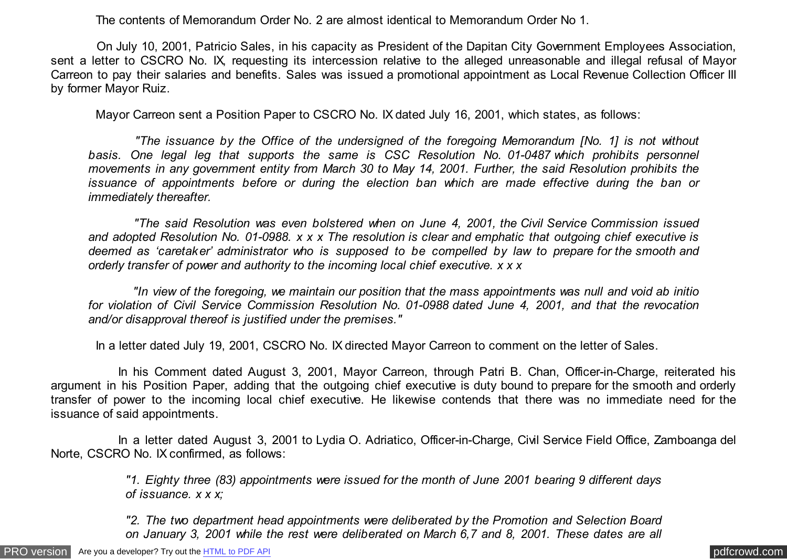The contents of Memorandum Order No. 2 are almost identical to Memorandum Order No 1.

 On July 10, 2001, Patricio Sales, in his capacity as President of the Dapitan City Government Employees Association, sent a letter to CSCRO No. IX, requesting its intercession relative to the alleged unreasonable and illegal refusal of Mayor Carreon to pay their salaries and benefits. Sales was issued a promotional appointment as Local Revenue Collection Officer III by former Mayor Ruiz.

Mayor Carreon sent a Position Paper to CSCRO No. IX dated July 16, 2001, which states, as follows:

 *"The issuance by the Office of the undersigned of the foregoing Memorandum [No. 1] is not without basis. One legal leg that supports the same is CSC Resolution No. 01-0487 which prohibits personnel movements in any government entity from March 30 to May 14, 2001. Further, the said Resolution prohibits the issuance of appointments before or during the election ban which are made effective during the ban or immediately thereafter.*

 *"The said Resolution was even bolstered when on June 4, 2001, the Civil Service Commission issued and adopted Resolution No. 01-0988. x x x The resolution is clear and emphatic that outgoing chief executive is deemed as 'caretaker' administrator who is supposed to be compelled by law to prepare for the smooth and orderly transfer of power and authority to the incoming local chief executive. x x x*

 *"In view of the foregoing, we maintain our position that the mass appointments was null and void ab initio for violation of Civil Service Commission Resolution No. 01-0988 dated June 4, 2001, and that the revocation and/or disapproval thereof is justified under the premises."*

In a letter dated July 19, 2001, CSCRO No. IX directed Mayor Carreon to comment on the letter of Sales.

 In his Comment dated August 3, 2001, Mayor Carreon, through Patri B. Chan, Officer-in-Charge, reiterated his argument in his Position Paper, adding that the outgoing chief executive is duty bound to prepare for the smooth and orderly transfer of power to the incoming local chief executive. He likewise contends that there was no immediate need for the issuance of said appointments.

 In a letter dated August 3, 2001 to Lydia O. Adriatico, Officer-in-Charge, Civil Service Field Office, Zamboanga del Norte, CSCRO No. IX confirmed, as follows:

> *"1. Eighty three (83) appointments were issued for the month of June 2001 bearing 9 different days of issuance. x x x;*

> *"2. The two department head appointments were deliberated by the Promotion and Selection Board on January 3, 2001 while the rest were deliberated on March 6,7 and 8, 2001. These dates are all*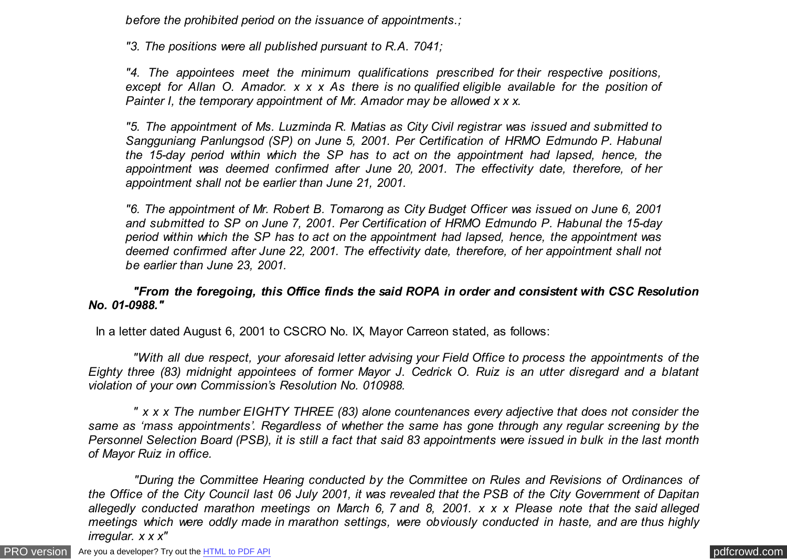*before the prohibited period on the issuance of appointments.;*

*"3. The positions were all published pursuant to R.A. 7041;*

*"4. The appointees meet the minimum qualifications prescribed for their respective positions, except for Allan O. Amador. x x x As there is no qualified eligible available for the position of Painter I, the temporary appointment of Mr. Amador may be allowed x x x.*

*"5. The appointment of Ms. Luzminda R. Matias as City Civil registrar was issued and submitted to Sangguniang Panlungsod (SP) on June 5, 2001. Per Certification of HRMO Edmundo P. Habunal the 15-day period within which the SP has to act on the appointment had lapsed, hence, the appointment was deemed confirmed after June 20, 2001. The effectivity date, therefore, of her appointment shall not be earlier than June 21, 2001.*

*"6. The appointment of Mr. Robert B. Tomarong as City Budget Officer was issued on June 6, 2001 and submitted to SP on June 7, 2001. Per Certification of HRMO Edmundo P. Habunal the 15-day period within which the SP has to act on the appointment had lapsed, hence, the appointment was deemed confirmed after June 22, 2001. The effectivity date, therefore, of her appointment shall not be earlier than June 23, 2001.*

 *"From the foregoing, this Office finds the said ROPA in order and consistent with CSC Resolution No. 01-0988."*

In a letter dated August 6, 2001 to CSCRO No. IX, Mayor Carreon stated, as follows:

 *"With all due respect, your aforesaid letter advising your Field Office to process the appointments of the Eighty three (83) midnight appointees of former Mayor J. Cedrick O. Ruiz is an utter disregard and a blatant violation of your own Commission's Resolution No. 010988.*

 *" x x x The number EIGHTY THREE (83) alone countenances every adjective that does not consider the same as 'mass appointments'. Regardless of whether the same has gone through any regular screening by the Personnel Selection Board (PSB), it is still a fact that said 83 appointments were issued in bulk in the last month of Mayor Ruiz in office.*

 *"During the Committee Hearing conducted by the Committee on Rules and Revisions of Ordinances of the Office of the City Council last 06 July 2001, it was revealed that the PSB of the City Government of Dapitan allegedly conducted marathon meetings on March 6, 7 and 8, 2001. x x x Please note that the said alleged meetings which were oddly made in marathon settings, were obviously conducted in haste, and are thus highly irregular. x x x"*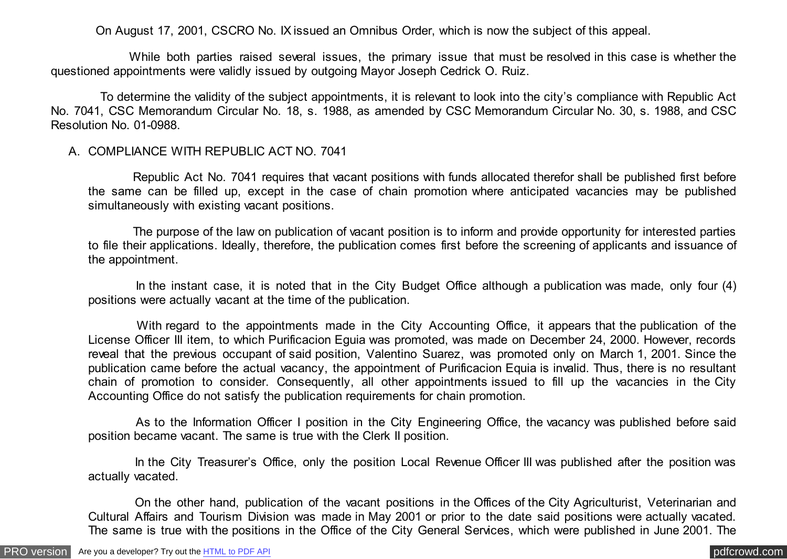On August 17, 2001, CSCRO No. IX issued an Omnibus Order, which is now the subject of this appeal.

 While both parties raised several issues, the primary issue that must be resolved in this case is whether the questioned appointments were validly issued by outgoing Mayor Joseph Cedrick O. Ruiz.

 To determine the validity of the subject appointments, it is relevant to look into the city's compliance with Republic Act No. 7041, CSC Memorandum Circular No. 18, s. 1988, as amended by CSC Memorandum Circular No. 30, s. 1988, and CSC Resolution No. 01-0988.

#### A. COMPLIANCE WITH REPUBLIC ACT NO. 7041

 Republic Act No. 7041 requires that vacant positions with funds allocated therefor shall be published first before the same can be filled up, except in the case of chain promotion where anticipated vacancies may be published simultaneously with existing vacant positions.

 The purpose of the law on publication of vacant position is to inform and provide opportunity for interested parties to file their applications. Ideally, therefore, the publication comes first before the screening of applicants and issuance of the appointment.

 In the instant case, it is noted that in the City Budget Office although a publication was made, only four (4) positions were actually vacant at the time of the publication.

With regard to the appointments made in the City Accounting Office, it appears that the publication of the License Officer III item, to which Purificacion Eguia was promoted, was made on December 24, 2000. However, records reveal that the previous occupant of said position, Valentino Suarez, was promoted only on March 1, 2001. Since the publication came before the actual vacancy, the appointment of Purificacion Equia is invalid. Thus, there is no resultant chain of promotion to consider. Consequently, all other appointments issued to fill up the vacancies in the City Accounting Office do not satisfy the publication requirements for chain promotion.

 As to the Information Officer I position in the City Engineering Office, the vacancy was published before said position became vacant. The same is true with the Clerk II position.

In the City Treasurer's Office, only the position Local Revenue Officer III was published after the position was actually vacated.

 On the other hand, publication of the vacant positions in the Offices of the City Agriculturist, Veterinarian and Cultural Affairs and Tourism Division was made in May 2001 or prior to the date said positions were actually vacated. The same is true with the positions in the Office of the City General Services, which were published in June 2001. The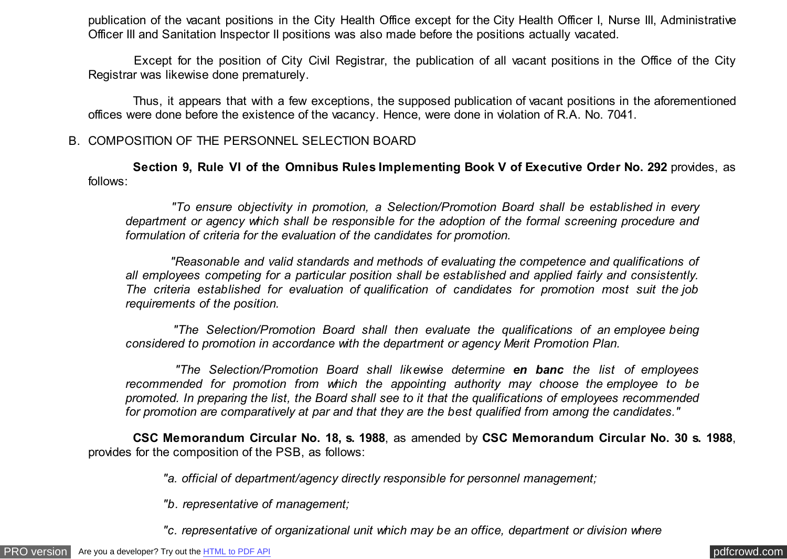publication of the vacant positions in the City Health Office except for the City Health Officer I, Nurse III, Administrative Officer III and Sanitation Inspector II positions was also made before the positions actually vacated.

 Except for the position of City Civil Registrar, the publication of all vacant positions in the Office of the City Registrar was likewise done prematurely.

 Thus, it appears that with a few exceptions, the supposed publication of vacant positions in the aforementioned offices were done before the existence of the vacancy. Hence, were done in violation of R.A. No. 7041.

### B. COMPOSITION OF THE PERSONNEL SELECTION BOARD

 **Section 9, Rule VI of the Omnibus Rules Implementing Book V of Executive Order No. 292** provides, as follows:

 *"To ensure objectivity in promotion, a Selection/Promotion Board shall be established in every department or agency which shall be responsible for the adoption of the formal screening procedure and formulation of criteria for the evaluation of the candidates for promotion.*

 *"Reasonable and valid standards and methods of evaluating the competence and qualifications of all employees competing for a particular position shall be established and applied fairly and consistently. The criteria established for evaluation of qualification of candidates for promotion most suit the job requirements of the position.*

 *"The Selection/Promotion Board shall then evaluate the qualifications of an employee being considered to promotion in accordance with the department or agency Merit Promotion Plan.*

 *"The Selection/Promotion Board shall likewise determine en banc the list of employees recommended for promotion from which the appointing authority may choose the employee to be promoted. In preparing the list, the Board shall see to it that the qualifications of employees recommended for promotion are comparatively at par and that they are the best qualified from among the candidates."*

 **CSC Memorandum Circular No. 18, s. 1988**, as amended by **CSC Memorandum Circular No. 30 s. 1988**, provides for the composition of the PSB, as follows:

*"a. official of department/agency directly responsible for personnel management;*

*"b. representative of management;*

*"c. representative of organizational unit which may be an office, department or division where*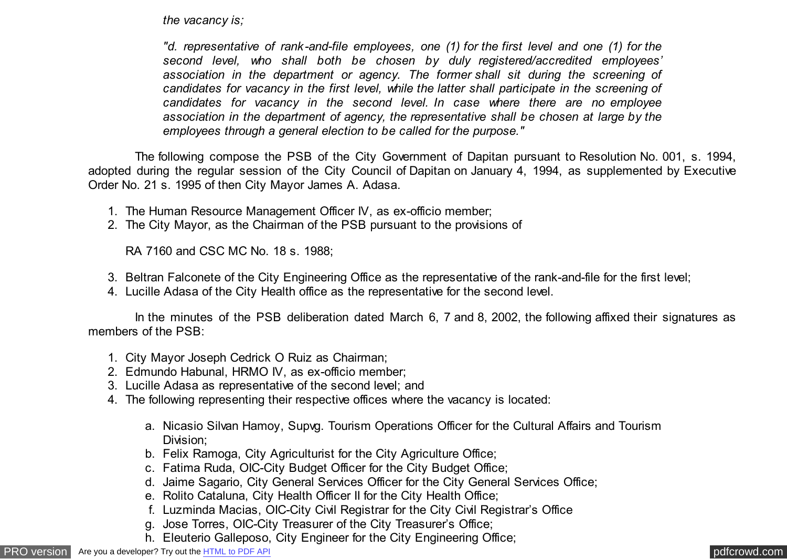*the vacancy is;*

*"d. representative of rank-and-file employees, one (1) for the first level and one (1) for the second level, who shall both be chosen by duly registered/accredited employees' association in the department or agency. The former shall sit during the screening of candidates for vacancy in the first level, while the latter shall participate in the screening of candidates for vacancy in the second level. In case where there are no employee association in the department of agency, the representative shall be chosen at large by the employees through a general election to be called for the purpose."*

 The following compose the PSB of the City Government of Dapitan pursuant to Resolution No. 001, s. 1994, adopted during the regular session of the City Council of Dapitan on January 4, 1994, as supplemented by Executive Order No. 21 s. 1995 of then City Mayor James A. Adasa.

- 1. The Human Resource Management Officer IV, as ex-officio member;
- 2. The City Mayor, as the Chairman of the PSB pursuant to the provisions of

RA 7160 and CSC MC No. 18 s. 1988;

- 3. Beltran Falconete of the City Engineering Office as the representative of the rank-and-file for the first level;
- 4. Lucille Adasa of the City Health office as the representative for the second level.

 In the minutes of the PSB deliberation dated March 6, 7 and 8, 2002, the following affixed their signatures as members of the PSB:

- 1. City Mayor Joseph Cedrick O Ruiz as Chairman;
- 2. Edmundo Habunal, HRMO IV, as ex-officio member;
- 3. Lucille Adasa as representative of the second level; and
- 4. The following representing their respective offices where the vacancy is located:
	- a. Nicasio Silvan Hamoy, Supvg. Tourism Operations Officer for the Cultural Affairs and Tourism Division;
	- b. Felix Ramoga, City Agriculturist for the City Agriculture Office;
	- c. Fatima Ruda, OIC-City Budget Officer for the City Budget Office;
	- d. Jaime Sagario, City General Services Officer for the City General Services Office;
	- e. Rolito Cataluna, City Health Officer II for the City Health Office;
	- f. Luzminda Macias, OIC-City Civil Registrar for the City Civil Registrar's Office
	- g. Jose Torres, OIC-City Treasurer of the City Treasurer's Office;
	- h. Eleuterio Galleposo, City Engineer for the City Engineering Office;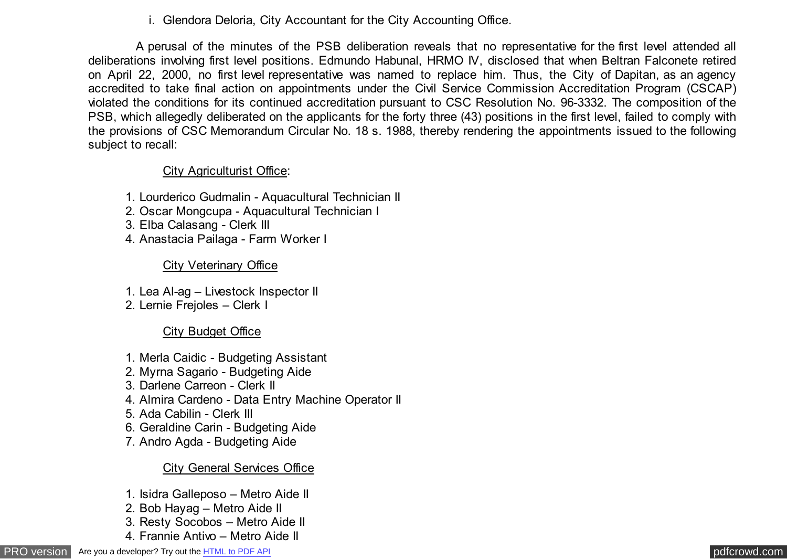i. Glendora Deloria, City Accountant for the City Accounting Office.

 A perusal of the minutes of the PSB deliberation reveals that no representative for the first level attended all deliberations involving first level positions. Edmundo Habunal, HRMO IV, disclosed that when Beltran Falconete retired on April 22, 2000, no first level representative was named to replace him. Thus, the City of Dapitan, as an agency accredited to take final action on appointments under the Civil Service Commission Accreditation Program (CSCAP) violated the conditions for its continued accreditation pursuant to CSC Resolution No. 96-3332. The composition of the PSB, which allegedly deliberated on the applicants for the forty three (43) positions in the first level, failed to comply with the provisions of CSC Memorandum Circular No. 18 s. 1988, thereby rendering the appointments issued to the following subject to recall:

### City Agriculturist Office:

- 1. Lourderico Gudmalin Aquacultural Technician II
- 2. Oscar Mongcupa Aquacultural Technician I
- 3. Elba Calasang Clerk III
- 4. Anastacia Pailaga Farm Worker I

### City Veterinary Office

- 1. Lea Al-ag Livestock Inspector II
- 2. Lernie Frejoles Clerk I

### City Budget Office

- 1. Merla Caidic Budgeting Assistant
- 2. Myrna Sagario Budgeting Aide
- 3. Darlene Carreon Clerk II
- 4. Almira Cardeno Data Entry Machine Operator II
- 5. Ada Cabilin Clerk III
- 6. Geraldine Carin Budgeting Aide
- 7. Andro Agda Budgeting Aide

#### City General Services Office

- 1. Isidra Galleposo Metro Aide II
- 2. Bob Hayag Metro Aide II
- 3. Resty Socobos Metro Aide II
- 4. Frannie Antivo Metro Aide II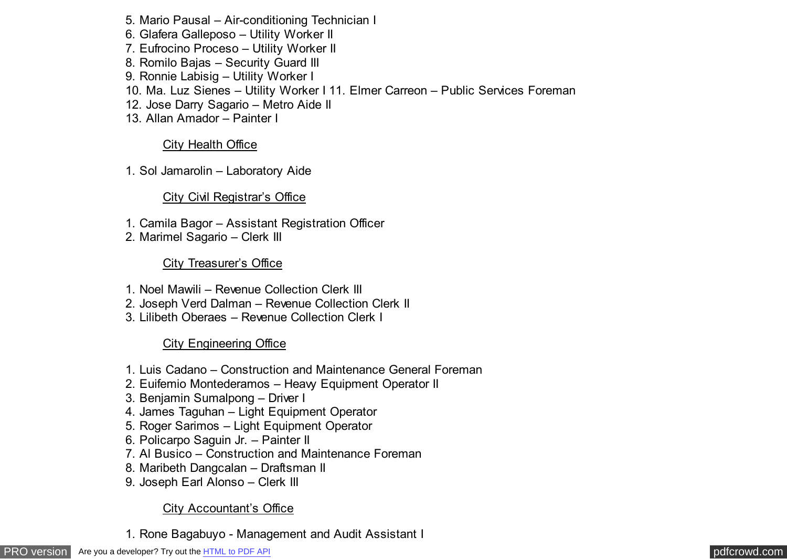- 5. Mario Pausal Air-conditioning Technician I
- 6. Glafera Galleposo Utility Worker II
- 7. Eufrocino Proceso Utility Worker II
- 8. Romilo Bajas Security Guard III
- 9. Ronnie Labisig Utility Worker I
- 10. Ma. Luz Sienes Utility Worker I 11. Elmer Carreon Public Services Foreman
- 12. Jose Darry Sagario Metro Aide II
- 13. Allan Amador Painter I

## City Health Office

1. Sol Jamarolin – Laboratory Aide

# City Civil Registrar's Office

- 1. Camila Bagor Assistant Registration Officer
- 2. Marimel Sagario Clerk III

# City Treasurer's Office

- 1. Noel Mawili Revenue Collection Clerk III
- 2. Joseph Verd Dalman Revenue Collection Clerk II
- 3. Lilibeth Oberaes Revenue Collection Clerk I

# City Engineering Office

- 1. Luis Cadano Construction and Maintenance General Foreman
- 2. Euifemio Montederamos Heavy Equipment Operator II
- 3. Benjamin Sumalpong Driver I
- 4. James Taguhan Light Equipment Operator
- 5. Roger Sarimos Light Equipment Operator
- 6. Policarpo Saguin Jr. Painter II
- 7. Al Busico Construction and Maintenance Foreman
- 8. Maribeth Dangcalan Draftsman II
- 9. Joseph Earl Alonso Clerk III

# City Accountant's Office

1. Rone Bagabuyo - Management and Audit Assistant I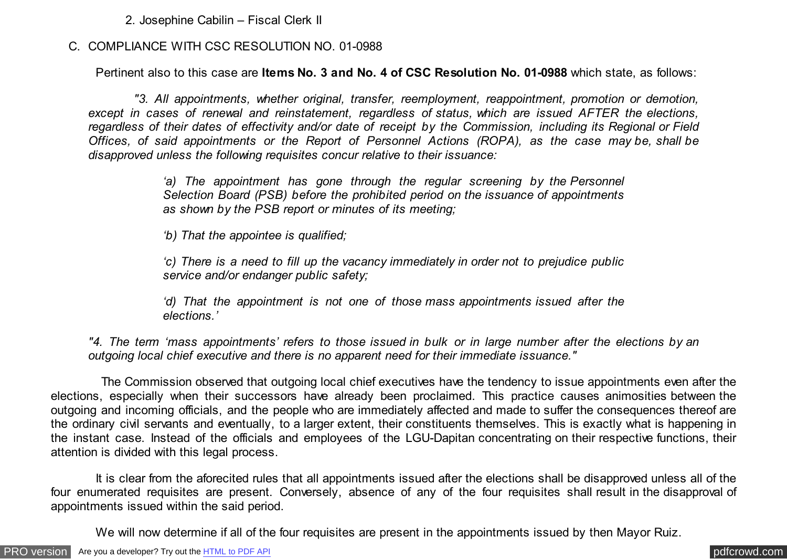2. Josephine Cabilin – Fiscal Clerk II

### C. COMPLIANCE WITH CSC RESOLUTION NO. 01-0988

Pertinent also to this case are **Items No. 3 and No. 4 of CSC Resolution No. 01-0988** which state, as follows:

 *"3. All appointments, whether original, transfer, reemployment, reappointment, promotion or demotion, except in cases of renewal and reinstatement, regardless of status, which are issued AFTER the elections, regardless of their dates of effectivity and/or date of receipt by the Commission, including its Regional or Field Offices, of said appointments or the Report of Personnel Actions (ROPA), as the case may be, shall be disapproved unless the following requisites concur relative to their issuance:*

> *'a) The appointment has gone through the regular screening by the Personnel Selection Board (PSB) before the prohibited period on the issuance of appointments as shown by the PSB report or minutes of its meeting;*

*'b) That the appointee is qualified;*

*'c) There is a need to fill up the vacancy immediately in order not to prejudice public service and/or endanger public safety;*

*'d) That the appointment is not one of those mass appointments issued after the elections.'*

*"4. The term 'mass appointments' refers to those issued in bulk or in large number after the elections by an outgoing local chief executive and there is no apparent need for their immediate issuance."*

 The Commission observed that outgoing local chief executives have the tendency to issue appointments even after the elections, especially when their successors have already been proclaimed. This practice causes animosities between the outgoing and incoming officials, and the people who are immediately affected and made to suffer the consequences thereof are the ordinary civil servants and eventually, to a larger extent, their constituents themselves. This is exactly what is happening in the instant case. Instead of the officials and employees of the LGU-Dapitan concentrating on their respective functions, their attention is divided with this legal process.

 It is clear from the aforecited rules that all appointments issued after the elections shall be disapproved unless all of the four enumerated requisites are present. Conversely, absence of any of the four requisites shall result in the disapproval of appointments issued within the said period.

We will now determine if all of the four requisites are present in the appointments issued by then Mayor Ruiz.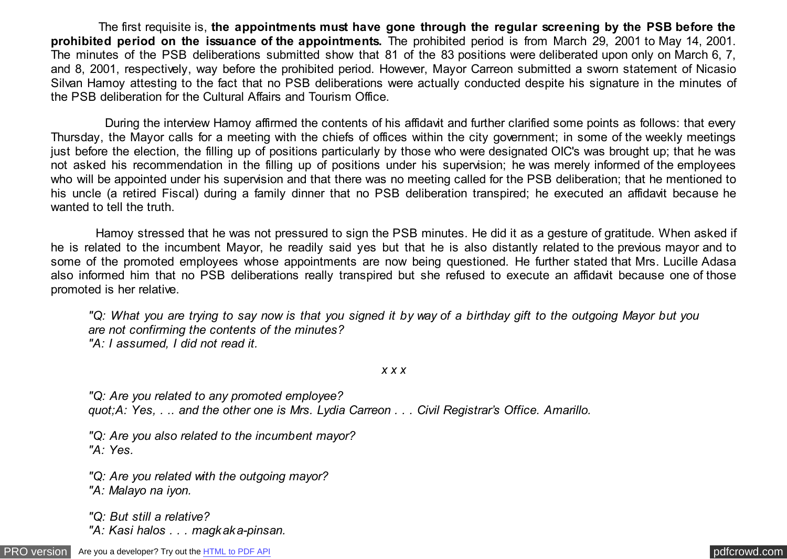The first requisite is, **the appointments must have gone through the regular screening by the PSB before the prohibited period on the issuance of the appointments.** The prohibited period is from March 29, 2001 to May 14, 2001. The minutes of the PSB deliberations submitted show that 81 of the 83 positions were deliberated upon only on March 6, 7, and 8, 2001, respectively, way before the prohibited period. However, Mayor Carreon submitted a sworn statement of Nicasio Silvan Hamoy attesting to the fact that no PSB deliberations were actually conducted despite his signature in the minutes of the PSB deliberation for the Cultural Affairs and Tourism Office.

 During the interview Hamoy affirmed the contents of his affidavit and further clarified some points as follows: that every Thursday, the Mayor calls for a meeting with the chiefs of offices within the city government; in some of the weekly meetings just before the election, the filling up of positions particularly by those who were designated OIC's was brought up; that he was not asked his recommendation in the filling up of positions under his supervision; he was merely informed of the employees who will be appointed under his supervision and that there was no meeting called for the PSB deliberation; that he mentioned to his uncle (a retired Fiscal) during a family dinner that no PSB deliberation transpired; he executed an affidavit because he wanted to tell the truth.

 Hamoy stressed that he was not pressured to sign the PSB minutes. He did it as a gesture of gratitude. When asked if he is related to the incumbent Mayor, he readily said yes but that he is also distantly related to the previous mayor and to some of the promoted employees whose appointments are now being questioned. He further stated that Mrs. Lucille Adasa also informed him that no PSB deliberations really transpired but she refused to execute an affidavit because one of those promoted is her relative.

*"Q: What you are trying to say now is that you signed it by way of a birthday gift to the outgoing Mayor but you are not confirming the contents of the minutes? "A: I assumed, I did not read it.*

*x x x*

*"Q: Are you related to any promoted employee? quot;A: Yes, . .. and the other one is Mrs. Lydia Carreon . . . Civil Registrar's Office. Amarillo.*

*"Q: Are you also related to the incumbent mayor? "A: Yes.*

*"Q: Are you related with the outgoing mayor? "A: Malayo na iyon.*

*"Q: But still a relative?*

*"A: Kasi halos . . . magkaka-pinsan.*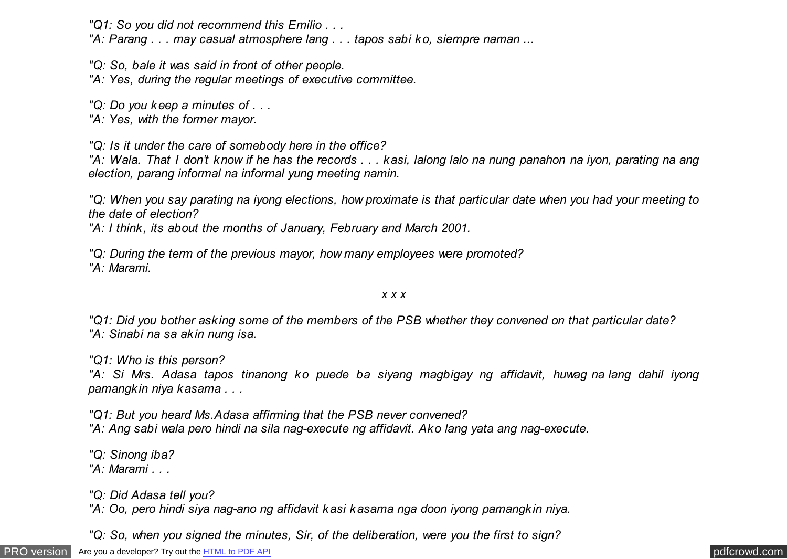*"Q1: So you did not recommend this Emilio . . .*

*"A: Parang . . . may casual atmosphere lang . . . tapos sabi ko, siempre naman ...*

*"Q: So, bale it was said in front of other people.*

*"A: Yes, during the regular meetings of executive committee.*

*"Q: Do you keep a minutes of . . .* 

*"A: Yes, with the former mayor.*

*"Q: Is it under the care of somebody here in the office?*

*"A: Wala. That I don't know if he has the records . . . kasi, lalong lalo na nung panahon na iyon, parating na ang election, parang informal na informal yung meeting namin.*

*"Q: When you say parating na iyong elections, how proximate is that particular date when you had your meeting to the date of election?*

*"A: I think, its about the months of January, February and March 2001.*

*"Q: During the term of the previous mayor, how many employees were promoted? "A: Marami.*

#### *x x x*

*"Q1: Did you bother asking some of the members of the PSB whether they convened on that particular date? "A: Sinabi na sa akin nung isa.*

*"Q1: Who is this person?*

*"A: Si Mrs. Adasa tapos tinanong ko puede ba siyang magbigay ng affidavit, huwag na lang dahil iyong pamangkin niya kasama . . .*

*"Q1: But you heard Ms.Adasa affirming that the PSB never convened? "A: Ang sabi wala pero hindi na sila nag-execute ng affidavit. Ako lang yata ang nag-execute.*

*"Q: Sinong iba?*

*"A: Marami . . .*

*"Q: Did Adasa tell you?*

*"A: Oo, pero hindi siya nag-ano ng affidavit kasi kasama nga doon iyong pamangkin niya.*

*"Q: So, when you signed the minutes, Sir, of the deliberation, were you the first to sign?*

[PRO version](http://pdfcrowd.com/customize/) Are you a developer? Try out th[e HTML to PDF API](http://pdfcrowd.com/html-to-pdf-api/?ref=pdf) contract the contract of the HTML to PDF API [pdfcrowd.com](http://pdfcrowd.com)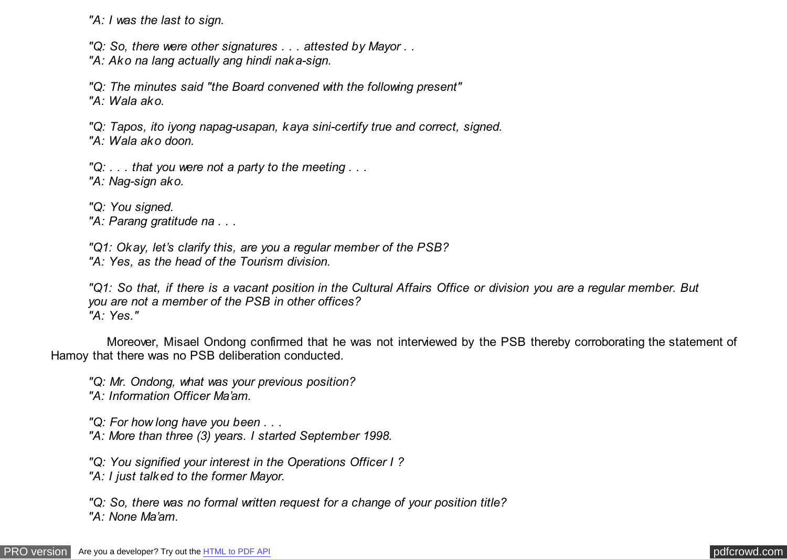*"A: I was the last to sign.*

"Q: So, there were other signatures . . . attested by Mayor . . *"A: Ako na lang actually ang hindi naka-sign.*

*"Q: The minutes said "the Board convened with the following present" "A: Wala ako.*

*"Q: Tapos, ito iyong napag-usapan, kaya sini-certify true and correct, signed. "A: Wala ako doon.*

*"Q: . . . that you were not a party to the meeting . . . "A: Nag-sign ako.*

*"Q: You signed. "A: Parang gratitude na . . .*

*"Q1: Okay, let's clarify this, are you a regular member of the PSB? "A: Yes, as the head of the Tourism division.*

*"Q1: So that, if there is a vacant position in the Cultural Affairs Office or division you are a regular member. But you are not a member of the PSB in other offices? "A: Yes."*

 Moreover, Misael Ondong confirmed that he was not interviewed by the PSB thereby corroborating the statement of Hamoy that there was no PSB deliberation conducted.

*"Q: Mr. Ondong, what was your previous position? "A: Information Officer Ma'am.*

*"Q: For how long have you been . . . "A: More than three (3) years. I started September 1998.*

*"Q: You signified your interest in the Operations Officer I ?* 

*"A: I just talked to the former Mayor.*

*"Q: So, there was no formal written request for a change of your position title? "A: None Ma'am.*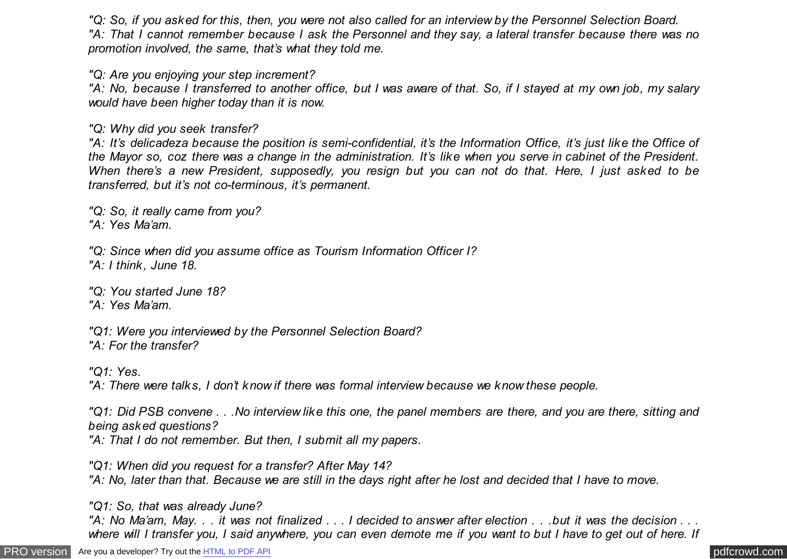*"Q: So, if you asked for this, then, you were not also called for an interview by the Personnel Selection Board. "A: That I cannot remember because I ask the Personnel and they say, a lateral transfer because there was no promotion involved, the same, that's what they told me.*

*"Q: Are you enjoying your step increment?*

*"A: No, because I transferred to another office, but I was aware of that. So, if I stayed at my own job, my salary would have been higher today than it is now.*

*"Q: Why did you seek transfer?*

*"A: It's delicadeza because the position is semi-confidential, it's the Information Office, it's just like the Office of the Mayor so, coz there was a change in the administration. It's like when you serve in cabinet of the President. When there's a new President, supposedly, you resign but you can not do that. Here, I just asked to be transferred, but it's not co-terminous, it's permanent.*

*"Q: So, it really came from you? "A: Yes Ma'am.*

*"Q: Since when did you assume office as Tourism Information Officer I? "A: I think, June 18.*

*"Q: You started June 18? "A: Yes Ma'am.*

*"Q1: Were you interviewed by the Personnel Selection Board? "A: For the transfer?*

*"Q1: Yes.*

*"A: There were talks, I don't know if there was formal interview because we know these people.*

*"Q1: Did PSB convene . . .No interview like this one, the panel members are there, and you are there, sitting and being asked questions?*

*"A: That I do not remember. But then, I submit all my papers.*

*"Q1: When did you request for a transfer? After May 14? "A: No, later than that. Because we are still in the days right after he lost and decided that I have to move.*

*"Q1: So, that was already June?*

*"A: No Ma'am, May. . . it was not finalized . . . I decided to answer after election . . .but it was the decision . . . where will I transfer you, I said anywhere, you can even demote me if you want to but I have to get out of here. If*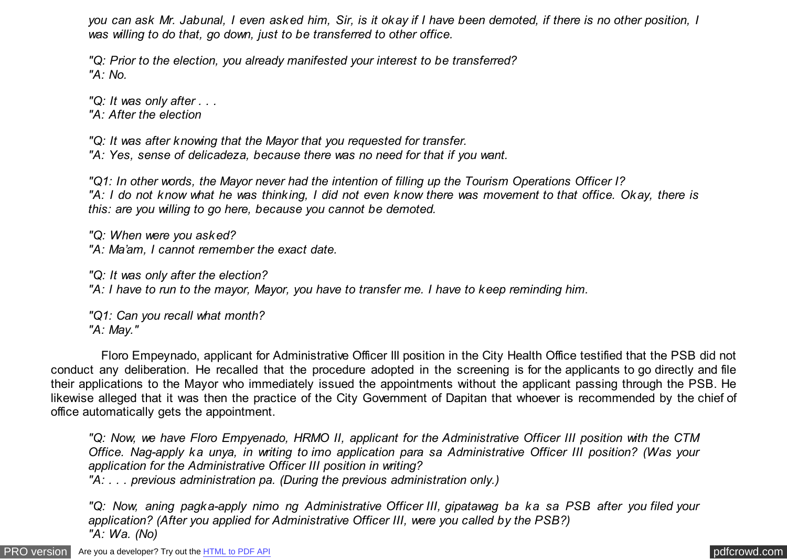*you can ask Mr. Jabunal, I even asked him, Sir, is it okay if I have been demoted, if there is no other position, I was willing to do that, go down, just to be transferred to other office.*

*"Q: Prior to the election, you already manifested your interest to be transferred? "A: No.*

*"Q: It was only after . . . "A: After the election*

*"Q: It was after knowing that the Mayor that you requested for transfer. "A: Yes, sense of delicadeza, because there was no need for that if you want.*

*"Q1: In other words, the Mayor never had the intention of filling up the Tourism Operations Officer I? "A: I do not know what he was thinking, I did not even know there was movement to that office. Okay, there is this: are you willing to go here, because you cannot be demoted.*

*"Q: When were you asked? "A: Ma'am, I cannot remember the exact date.*

*"Q: It was only after the election? "A: I have to run to the mayor, Mayor, you have to transfer me. I have to keep reminding him.*

*"Q1: Can you recall what month? "A: May."*

 Floro Empeynado, applicant for Administrative Officer III position in the City Health Office testified that the PSB did not conduct any deliberation. He recalled that the procedure adopted in the screening is for the applicants to go directly and file their applications to the Mayor who immediately issued the appointments without the applicant passing through the PSB. He likewise alleged that it was then the practice of the City Government of Dapitan that whoever is recommended by the chief of office automatically gets the appointment.

*"Q: Now, we have Floro Empyenado, HRMO II, applicant for the Administrative Officer III position with the CTM Office. Nag-apply ka unya, in writing to imo application para sa Administrative Officer III position? (Was your application for the Administrative Officer III position in writing?*

*"A: . . . previous administration pa. (During the previous administration only.)*

*"Q: Now, aning pagka-apply nimo ng Administrative Officer III, gipatawag ba ka sa PSB after you filed your application? (After you applied for Administrative Officer III, were you called by the PSB?) "A: Wa. (No)*

[PRO version](http://pdfcrowd.com/customize/) Are you a developer? Try out th[e HTML to PDF API](http://pdfcrowd.com/html-to-pdf-api/?ref=pdf) contract the contract of the HTML to PDF API [pdfcrowd.com](http://pdfcrowd.com)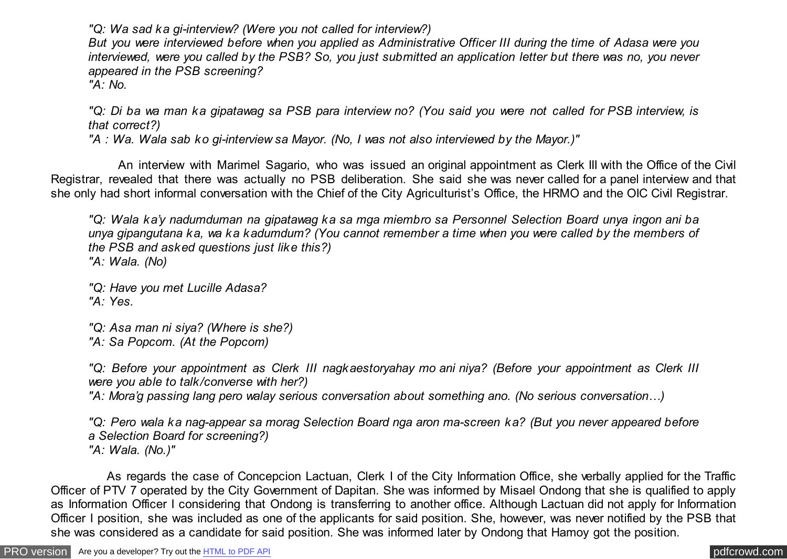*"Q: Wa sad ka gi-interview? (Were you not called for interview?)*

*But you were interviewed before when you applied as Administrative Officer III during the time of Adasa were you interviewed, were you called by the PSB? So, you just submitted an application letter but there was no, you never appeared in the PSB screening?*

*"A: No.*

*"Q: Di ba wa man ka gipatawag sa PSB para interview no? (You said you were not called for PSB interview, is that correct?)*

*"A : Wa. Wala sab ko gi-interview sa Mayor. (No, I was not also interviewed by the Mayor.)"*

 An interview with Marimel Sagario, who was issued an original appointment as Clerk III with the Office of the Civil Registrar, revealed that there was actually no PSB deliberation. She said she was never called for a panel interview and that she only had short informal conversation with the Chief of the City Agriculturist's Office, the HRMO and the OIC Civil Registrar.

*"Q: Wala ka'y nadumduman na gipatawag ka sa mga miembro sa Personnel Selection Board unya ingon ani ba unya gipangutana ka, wa ka kadumdum? (You cannot remember a time when you were called by the members of the PSB and asked questions just like this?) "A: Wala. (No)*

*"Q: Have you met Lucille Adasa? "A: Yes.*

*"Q: Asa man ni siya? (Where is she?) "A: Sa Popcom. (At the Popcom)*

*"Q: Before your appointment as Clerk III nagkaestoryahay mo ani niya? (Before your appointment as Clerk III were you able to talk/converse with her?)*

*"A: Mora'g passing lang pero walay serious conversation about something ano. (No serious conversation…)*

*"Q: Pero wala ka nag-appear sa morag Selection Board nga aron ma-screen ka? (But you never appeared before a Selection Board for screening?) "A: Wala. (No.)"*

 As regards the case of Concepcion Lactuan, Clerk I of the City Information Office, she verbally applied for the Traffic Officer of PTV 7 operated by the City Government of Dapitan. She was informed by Misael Ondong that she is qualified to apply as Information Officer I considering that Ondong is transferring to another office. Although Lactuan did not apply for Information Officer I position, she was included as one of the applicants for said position. She, however, was never notified by the PSB that she was considered as a candidate for said position. She was informed later by Ondong that Hamoy got the position.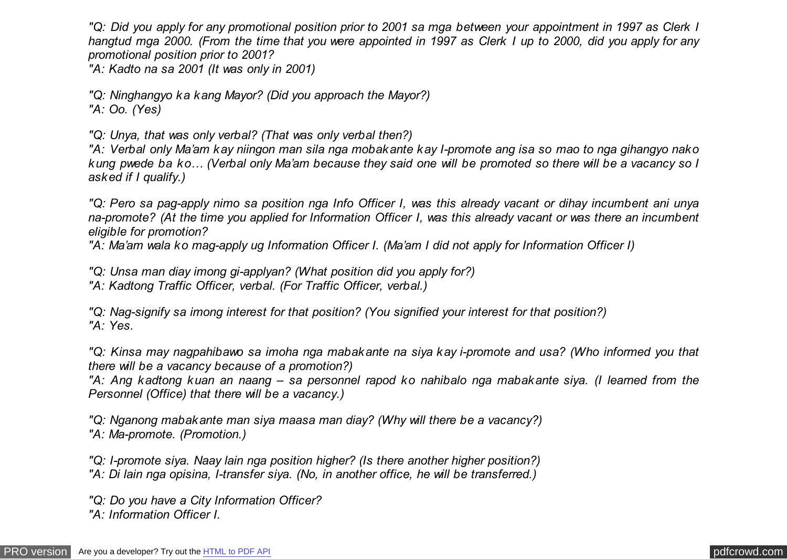*"Q: Did you apply for any promotional position prior to 2001 sa mga between your appointment in 1997 as Clerk I hangtud mga 2000. (From the time that you were appointed in 1997 as Clerk I up to 2000, did you apply for any promotional position prior to 2001?*

*"A: Kadto na sa 2001 (It was only in 2001)*

*"Q: Ninghangyo ka kang Mayor? (Did you approach the Mayor?) "A: Oo. (Yes)*

*"Q: Unya, that was only verbal? (That was only verbal then?)*

*"A: Verbal only Ma'am kay niingon man sila nga mobakante kay I-promote ang isa so mao to nga gihangyo nako kung pwede ba ko… (Verbal only Ma'am because they said one will be promoted so there will be a vacancy so I asked if I qualify.)*

*"Q: Pero sa pag-apply nimo sa position nga Info Officer I, was this already vacant or dihay incumbent ani unya na-promote? (At the time you applied for Information Officer I, was this already vacant or was there an incumbent eligible for promotion?*

*"A: Ma'am wala ko mag-apply ug Information Officer I. (Ma'am I did not apply for Information Officer I)*

*"Q: Unsa man diay imong gi-applyan? (What position did you apply for?)*

*"A: Kadtong Traffic Officer, verbal. (For Traffic Officer, verbal.)*

*"Q: Nag-signify sa imong interest for that position? (You signified your interest for that position?) "A: Yes.*

*"Q: Kinsa may nagpahibawo sa imoha nga mabakante na siya kay i-promote and usa? (Who informed you that there will be a vacancy because of a promotion?)*

*"A: Ang kadtong kuan an naang – sa personnel rapod ko nahibalo nga mabakante siya. (I learned from the Personnel (Office) that there will be a vacancy.)*

*"Q: Nganong mabakante man siya maasa man diay? (Why will there be a vacancy?) "A: Ma-promote. (Promotion.)*

*"Q: I-promote siya. Naay lain nga position higher? (Is there another higher position?) "A: Di lain nga opisina, I-transfer siya. (No, in another office, he will be transferred.)*

*"Q: Do you have a City Information Officer? "A: Information Officer I.*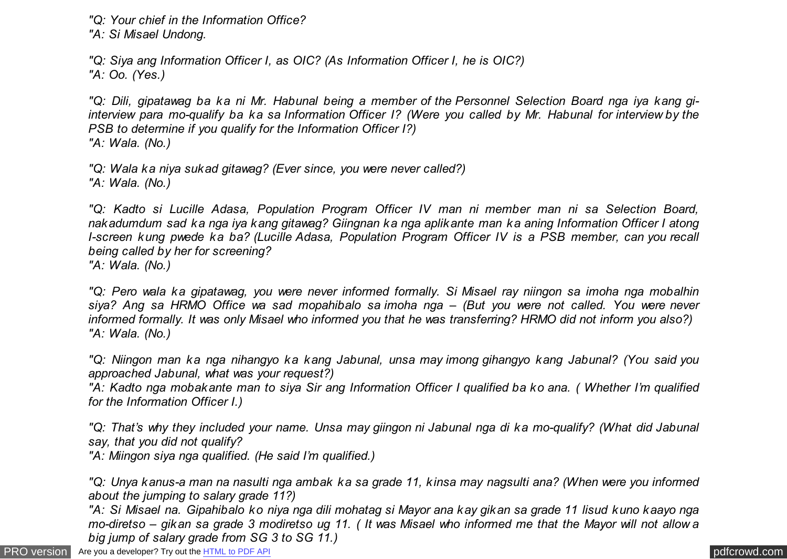*"Q: Your chief in the Information Office? "A: Si Misael Undong.*

*"Q: Siya ang Information Officer I, as OIC? (As Information Officer I, he is OIC?) "A: Oo. (Yes.)*

*"Q: Dili, gipatawag ba ka ni Mr. Habunal being a member of the Personnel Selection Board nga iya kang giinterview para mo-qualify ba ka sa Information Officer I? (Were you called by Mr. Habunal for interview by the PSB to determine if you qualify for the Information Officer I?) "A: Wala. (No.)*

*"Q: Wala ka niya sukad gitawag? (Ever since, you were never called?) "A: Wala. (No.)*

*"Q: Kadto si Lucille Adasa, Population Program Officer IV man ni member man ni sa Selection Board, nakadumdum sad ka nga iya kang gitawag? Giingnan ka nga aplikante man ka aning Information Officer I atong I-screen kung pwede ka ba? (Lucille Adasa, Population Program Officer IV is a PSB member, can you recall being called by her for screening? "A: Wala. (No.)*

*"Q: Pero wala ka gipatawag, you were never informed formally. Si Misael ray niingon sa imoha nga mobalhin siya? Ang sa HRMO Office wa sad mopahibalo sa imoha nga – (But you were not called. You were never informed formally. It was only Misael who informed you that he was transferring? HRMO did not inform you also?) "A: Wala. (No.)*

*"Q: Niingon man ka nga nihangyo ka kang Jabunal, unsa may imong gihangyo kang Jabunal? (You said you approached Jabunal, what was your request?)*

*"A: Kadto nga mobakante man to siya Sir ang Information Officer I qualified ba ko ana. ( Whether I'm qualified for the Information Officer I.)*

*"Q: That's why they included your name. Unsa may giingon ni Jabunal nga di ka mo-qualify? (What did Jabunal say, that you did not qualify?*

*"A: Miingon siya nga qualified. (He said I'm qualified.)*

*"Q: Unya kanus-a man na nasulti nga ambak ka sa grade 11, kinsa may nagsulti ana? (When were you informed about the jumping to salary grade 11?)*

*"A: Si Misael na. Gipahibalo ko niya nga dili mohatag si Mayor ana kay gikan sa grade 11 lisud kuno kaayo nga mo-diretso – gikan sa grade 3 modiretso ug 11. ( It was Misael who informed me that the Mayor will not allow a big jump of salary grade from SG 3 to SG 11.)*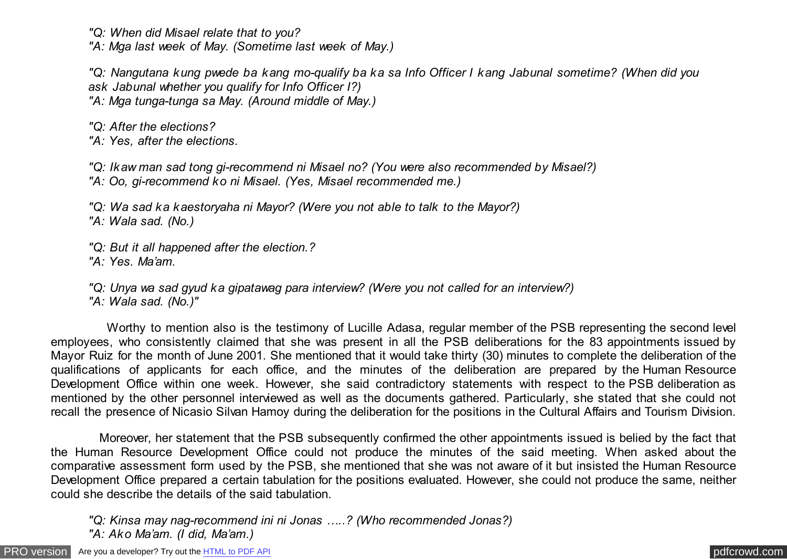*"Q: When did Misael relate that to you?*

*"A: Mga last week of May. (Sometime last week of May.)*

*"Q: Nangutana kung pwede ba kang mo-qualify ba ka sa Info Officer I kang Jabunal sometime? (When did you ask Jabunal whether you qualify for Info Officer I?) "A: Mga tunga-tunga sa May. (Around middle of May.)*

*"Q: After the elections?*

*"A: Yes, after the elections.*

*"Q: Ikaw man sad tong gi-recommend ni Misael no? (You were also recommended by Misael?) "A: Oo, gi-recommend ko ni Misael. (Yes, Misael recommended me.)*

*"Q: Wa sad ka kaestoryaha ni Mayor? (Were you not able to talk to the Mayor?) "A: Wala sad. (No.)*

*"Q: But it all happened after the election.? "A: Yes. Ma'am.*

*"Q: Unya wa sad gyud ka gipatawag para interview? (Were you not called for an interview?) "A: Wala sad. (No.)"*

 Worthy to mention also is the testimony of Lucille Adasa, regular member of the PSB representing the second level employees, who consistently claimed that she was present in all the PSB deliberations for the 83 appointments issued by Mayor Ruiz for the month of June 2001. She mentioned that it would take thirty (30) minutes to complete the deliberation of the qualifications of applicants for each office, and the minutes of the deliberation are prepared by the Human Resource Development Office within one week. However, she said contradictory statements with respect to the PSB deliberation as mentioned by the other personnel interviewed as well as the documents gathered. Particularly, she stated that she could not recall the presence of Nicasio Silvan Hamoy during the deliberation for the positions in the Cultural Affairs and Tourism Division.

 Moreover, her statement that the PSB subsequently confirmed the other appointments issued is belied by the fact that the Human Resource Development Office could not produce the minutes of the said meeting. When asked about the comparative assessment form used by the PSB, she mentioned that she was not aware of it but insisted the Human Resource Development Office prepared a certain tabulation for the positions evaluated. However, she could not produce the same, neither could she describe the details of the said tabulation.

*"Q: Kinsa may nag-recommend ini ni Jonas …..? (Who recommended Jonas?) "A: Ako Ma'am. (I did, Ma'am.)*

[PRO version](http://pdfcrowd.com/customize/) Are you a developer? Try out th[e HTML to PDF API](http://pdfcrowd.com/html-to-pdf-api/?ref=pdf) process and the example of the HTML to PDF API [pdfcrowd.com](http://pdfcrowd.com)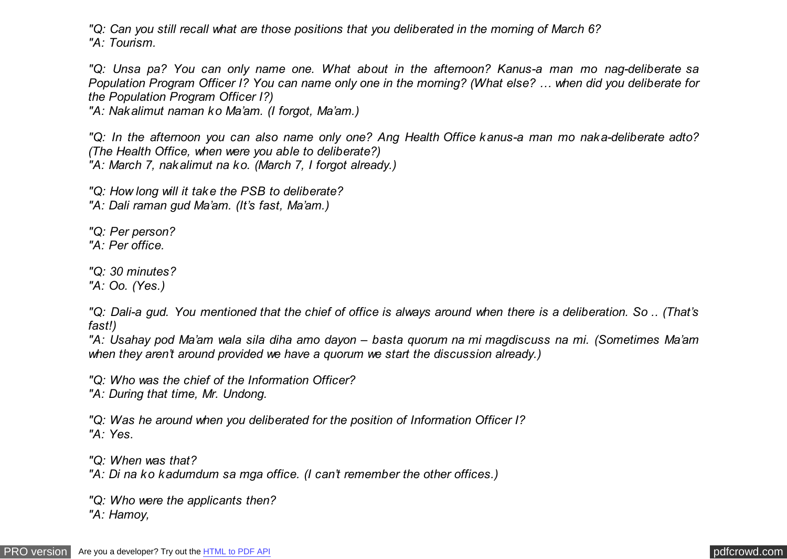*"Q: Can you still recall what are those positions that you deliberated in the morning of March 6? "A: Tourism.*

*"Q: Unsa pa? You can only name one. What about in the afternoon? Kanus-a man mo nag-deliberate sa Population Program Officer I? You can name only one in the morning? (What else? … when did you deliberate for the Population Program Officer I?)*

*"A: Nakalimut naman ko Ma'am. (I forgot, Ma'am.)*

*"Q: In the afternoon you can also name only one? Ang Health Office kanus-a man mo naka-deliberate adto? (The Health Office, when were you able to deliberate?) "A: March 7, nakalimut na ko. (March 7, I forgot already.)*

*"Q: How long will it take the PSB to deliberate? "A: Dali raman gud Ma'am. (It's fast, Ma'am.)*

*"Q: Per person? "A: Per office.*

*"Q: 30 minutes?*

*"A: Oo. (Yes.)*

*"Q: Dali-a gud. You mentioned that the chief of office is always around when there is a deliberation. So .. (That's fast!)*

*"A: Usahay pod Ma'am wala sila diha amo dayon – basta quorum na mi magdiscuss na mi. (Sometimes Ma'am when they aren't around provided we have a quorum we start the discussion already.)*

*"Q: Who was the chief of the Information Officer?*

*"A: During that time, Mr. Undong.*

*"Q: Was he around when you deliberated for the position of Information Officer I? "A: Yes.*

*"Q: When was that?*

*"A: Di na ko kadumdum sa mga office. (I can't remember the other offices.)*

*"Q: Who were the applicants then? "A: Hamoy,*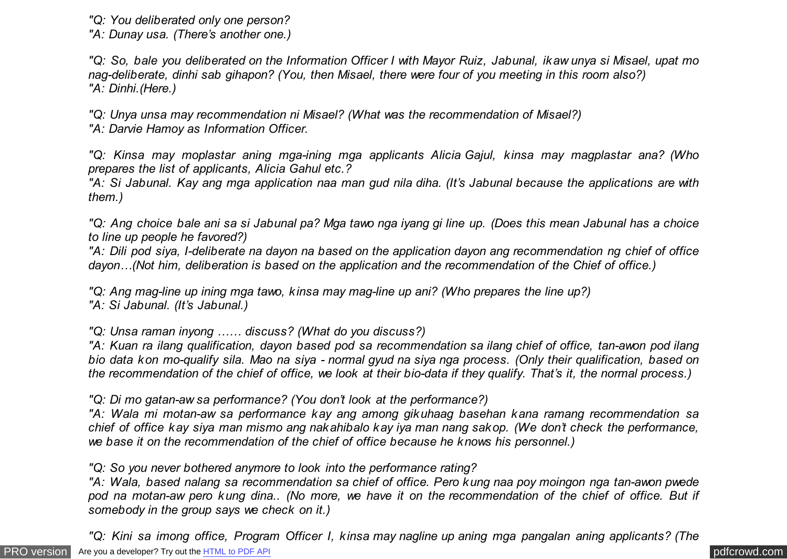*"Q: You deliberated only one person?*

*"A: Dunay usa. (There's another one.)*

*"Q: So, bale you deliberated on the Information Officer I with Mayor Ruiz, Jabunal, ikaw unya si Misael, upat mo nag-deliberate, dinhi sab gihapon? (You, then Misael, there were four of you meeting in this room also?) "A: Dinhi.(Here.)*

*"Q: Unya unsa may recommendation ni Misael? (What was the recommendation of Misael?)*

*"A: Darvie Hamoy as Information Officer.*

*"Q: Kinsa may moplastar aning mga-ining mga applicants Alicia Gajul, kinsa may magplastar ana? (Who prepares the list of applicants, Alicia Gahul etc.?*

*"A: Si Jabunal. Kay ang mga application naa man gud nila diha. (It's Jabunal because the applications are with them.)*

*"Q: Ang choice bale ani sa si Jabunal pa? Mga tawo nga iyang gi line up. (Does this mean Jabunal has a choice to line up people he favored?)*

*"A: Dili pod siya, I-deliberate na dayon na based on the application dayon ang recommendation ng chief of office dayon…(Not him, deliberation is based on the application and the recommendation of the Chief of office.)*

*"Q: Ang mag-line up ining mga tawo, kinsa may mag-line up ani? (Who prepares the line up?) "A: Si Jabunal. (It's Jabunal.)*

*"Q: Unsa raman inyong …… discuss? (What do you discuss?)*

*"A: Kuan ra ilang qualification, dayon based pod sa recommendation sa ilang chief of office, tan-awon pod ilang bio data kon mo-qualify sila. Mao na siya - normal gyud na siya nga process. (Only their qualification, based on the recommendation of the chief of office, we look at their bio-data if they qualify. That's it, the normal process.)*

*"Q: Di mo gatan-aw sa performance? (You don't look at the performance?)*

*"A: Wala mi motan-aw sa performance kay ang among gikuhaag basehan kana ramang recommendation sa chief of office kay siya man mismo ang nakahibalo kay iya man nang sakop. (We don't check the performance, we base it on the recommendation of the chief of office because he knows his personnel.)*

*"Q: So you never bothered anymore to look into the performance rating?*

*"A: Wala, based nalang sa recommendation sa chief of office. Pero kung naa poy moingon nga tan-awon pwede pod na motan-aw pero kung dina.. (No more, we have it on the recommendation of the chief of office. But if somebody in the group says we check on it.)*

[PRO version](http://pdfcrowd.com/customize/) Are you a developer? Try out th[e HTML to PDF API](http://pdfcrowd.com/html-to-pdf-api/?ref=pdf) contract the contract of the HTML to PDF API [pdfcrowd.com](http://pdfcrowd.com) *"Q: Kini sa imong office, Program Officer I, kinsa may nagline up aning mga pangalan aning applicants? (The*

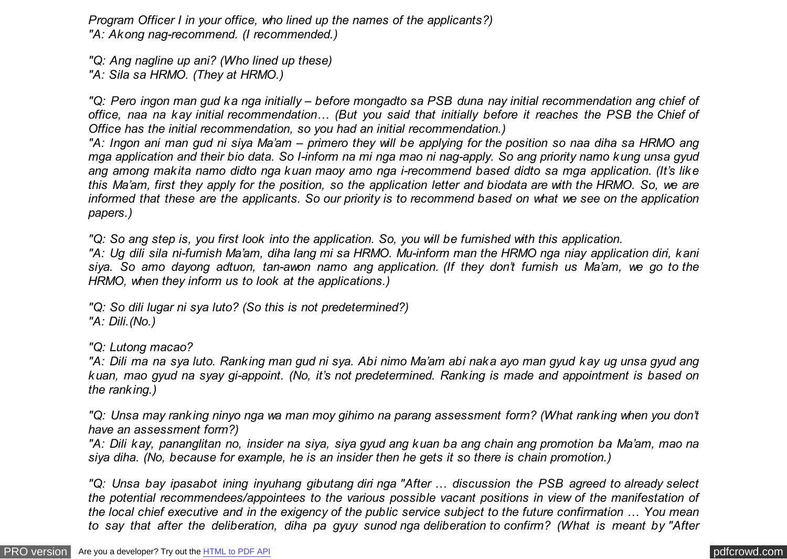*Program Officer I in your office, who lined up the names of the applicants?) "A: Akong nag-recommend. (I recommended.)*

*"Q: Ang nagline up ani? (Who lined up these)*

*"A: Sila sa HRMO. (They at HRMO.)*

*"Q: Pero ingon man gud ka nga initially – before mongadto sa PSB duna nay initial recommendation ang chief of office, naa na kay initial recommendation… (But you said that initially before it reaches the PSB the Chief of Office has the initial recommendation, so you had an initial recommendation.)*

*"A: Ingon ani man gud ni siya Ma'am – primero they will be applying for the position so naa diha sa HRMO ang mga application and their bio data. So I-inform na mi nga mao ni nag-apply. So ang priority namo kung unsa gyud ang among makita namo didto nga kuan maoy amo nga i-recommend based didto sa mga application. (It's like this Ma'am, first they apply for the position, so the application letter and biodata are with the HRMO. So, we are informed that these are the applicants. So our priority is to recommend based on what we see on the application papers.)*

*"Q: So ang step is, you first look into the application. So, you will be furnished with this application.*

*"A: Ug dili sila ni-furnish Ma'am, diha lang mi sa HRMO. Mu-inform man the HRMO nga niay application diri, kani siya. So amo dayong adtuon, tan-awon namo ang application. (If they don't furnish us Ma'am, we go to the HRMO, when they inform us to look at the applications.)*

*"Q: So dili lugar ni sya luto? (So this is not predetermined?) "A: Dili.(No.)*

*"Q: Lutong macao?*

*"A: Dili ma na sya luto. Ranking man gud ni sya. Abi nimo Ma'am abi naka ayo man gyud kay ug unsa gyud ang kuan, mao gyud na syay gi-appoint. (No, it's not predetermined. Ranking is made and appointment is based on the ranking.)*

*"Q: Unsa may ranking ninyo nga wa man moy gihimo na parang assessment form? (What ranking when you don't have an assessment form?)*

*"A: Dili kay, pananglitan no, insider na siya, siya gyud ang kuan ba ang chain ang promotion ba Ma'am, mao na siya diha. (No, because for example, he is an insider then he gets it so there is chain promotion.)*

*"Q: Unsa bay ipasabot ining inyuhang gibutang diri nga "After … discussion the PSB agreed to already select the potential recommendees/appointees to the various possible vacant positions in view of the manifestation of the local chief executive and in the exigency of the public service subject to the future confirmation … You mean to say that after the deliberation, diha pa gyuy sunod nga deliberation to confirm? (What is meant by "After*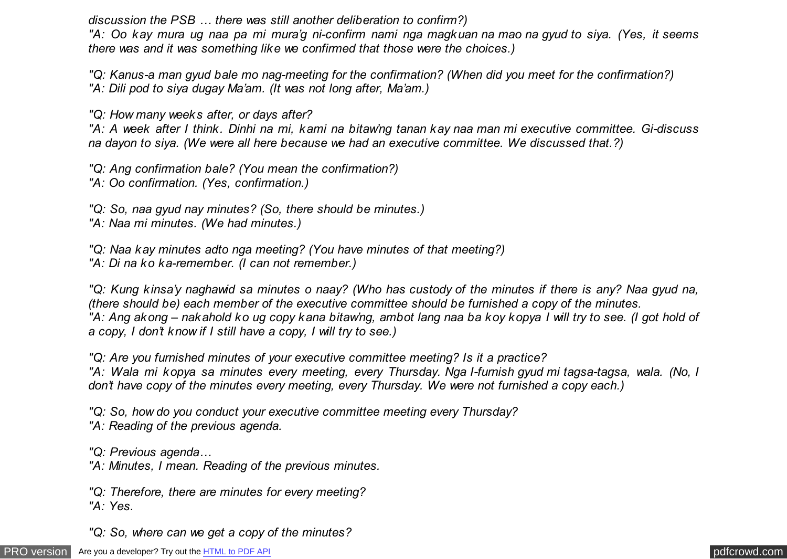*discussion the PSB … there was still another deliberation to confirm?)*

*"A: Oo kay mura ug naa pa mi mura'g ni-confirm nami nga magkuan na mao na gyud to siya. (Yes, it seems there was and it was something like we confirmed that those were the choices.)*

*"Q: Kanus-a man gyud bale mo nag-meeting for the confirmation? (When did you meet for the confirmation?) "A: Dili pod to siya dugay Ma'am. (It was not long after, Ma'am.)*

*"Q: How many weeks after, or days after?*

*"A: A week after I think. Dinhi na mi, kami na bitaw'ng tanan kay naa man mi executive committee. Gi-discuss na dayon to siya. (We were all here because we had an executive committee. We discussed that.?)*

*"Q: Ang confirmation bale? (You mean the confirmation?) "A: Oo confirmation. (Yes, confirmation.)*

*"Q: So, naa gyud nay minutes? (So, there should be minutes.)*

*"A: Naa mi minutes. (We had minutes.)*

*"Q: Naa kay minutes adto nga meeting? (You have minutes of that meeting?) "A: Di na ko ka-remember. (I can not remember.)*

*"Q: Kung kinsa'y naghawid sa minutes o naay? (Who has custody of the minutes if there is any? Naa gyud na, (there should be) each member of the executive committee should be furnished a copy of the minutes. "A: Ang akong – nakahold ko ug copy kana bitaw'ng, ambot lang naa ba koy kopya I will try to see. (I got hold of a copy, I don't know if I still have a copy, I will try to see.)*

*"Q: Are you furnished minutes of your executive committee meeting? Is it a practice? "A: Wala mi kopya sa minutes every meeting, every Thursday. Nga I-furnish gyud mi tagsa-tagsa, wala. (No, I don't have copy of the minutes every meeting, every Thursday. We were not furnished a copy each.)*

*"Q: So, how do you conduct your executive committee meeting every Thursday? "A: Reading of the previous agenda.*

*"Q: Previous agenda…*

*"A: Minutes, I mean. Reading of the previous minutes.*

*"Q: Therefore, there are minutes for every meeting? "A: Yes.*

*"Q: So, where can we get a copy of the minutes?*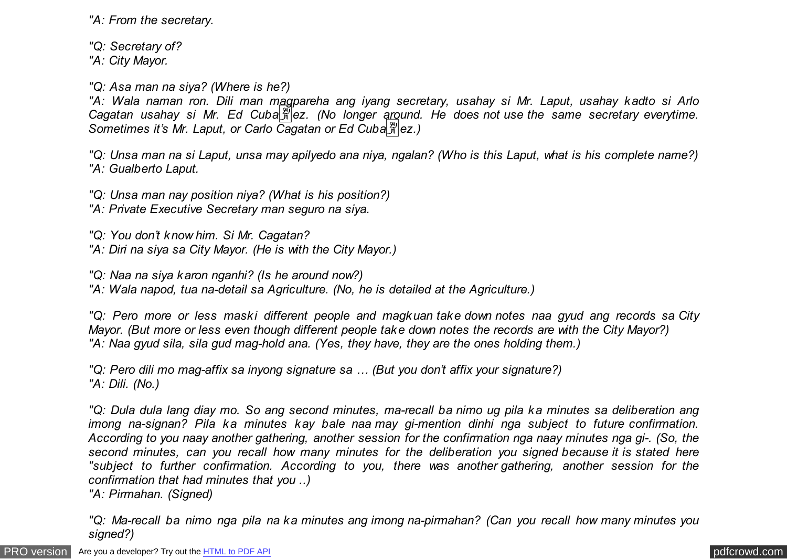*"A: From the secretary.*

*"Q: Secretary of? "A: City Mayor.*

*"Q: Asa man na siya? (Where is he?)*

*"A: Wala naman ron. Dili man magpareha ang iyang secretary, usahay si Mr. Laput, usahay kadto si Arlo Cagatan usahay si Mr. Ed Cuba*�*ez. (No longer around. He does not use the same secretary everytime.* Sometimes it's Mr. Laput, or Carlo Cagatan or Ed Cuba  $\frac{\mathcal{X}}{\mathcal{Y}}$  ez.)

*"Q: Unsa man na si Laput, unsa may apilyedo ana niya, ngalan? (Who is this Laput, what is his complete name?) "A: Gualberto Laput.*

*"Q: Unsa man nay position niya? (What is his position?)*

*"A: Private Executive Secretary man seguro na siya.*

*"Q: You don't know him. Si Mr. Cagatan? "A: Diri na siya sa City Mayor. (He is with the City Mayor.)*

*"Q: Naa na siya karon nganhi? (Is he around now?)*

*"A: Wala napod, tua na-detail sa Agriculture. (No, he is detailed at the Agriculture.)*

*"Q: Pero more or less maski different people and magkuan take down notes naa gyud ang records sa City Mayor. (But more or less even though different people take down notes the records are with the City Mayor?) "A: Naa gyud sila, sila gud mag-hold ana. (Yes, they have, they are the ones holding them.)*

*"Q: Pero dili mo mag-affix sa inyong signature sa … (But you don't affix your signature?) "A: Dili. (No.)*

*"Q: Dula dula lang diay mo. So ang second minutes, ma-recall ba nimo ug pila ka minutes sa deliberation ang imong na-signan? Pila ka minutes kay bale naa may gi-mention dinhi nga subject to future confirmation. According to you naay another gathering, another session for the confirmation nga naay minutes nga gi-. (So, the second minutes, can you recall how many minutes for the deliberation you signed because it is stated here "subject to further confirmation. According to you, there was another gathering, another session for the confirmation that had minutes that you ..)*

*"A: Pirmahan. (Signed)*

*"Q: Ma-recall ba nimo nga pila na ka minutes ang imong na-pirmahan? (Can you recall how many minutes you signed?)* 

[PRO version](http://pdfcrowd.com/customize/) Are you a developer? Try out th[e HTML to PDF API](http://pdfcrowd.com/html-to-pdf-api/?ref=pdf) process and the example of the HTML to PDF API [pdfcrowd.com](http://pdfcrowd.com)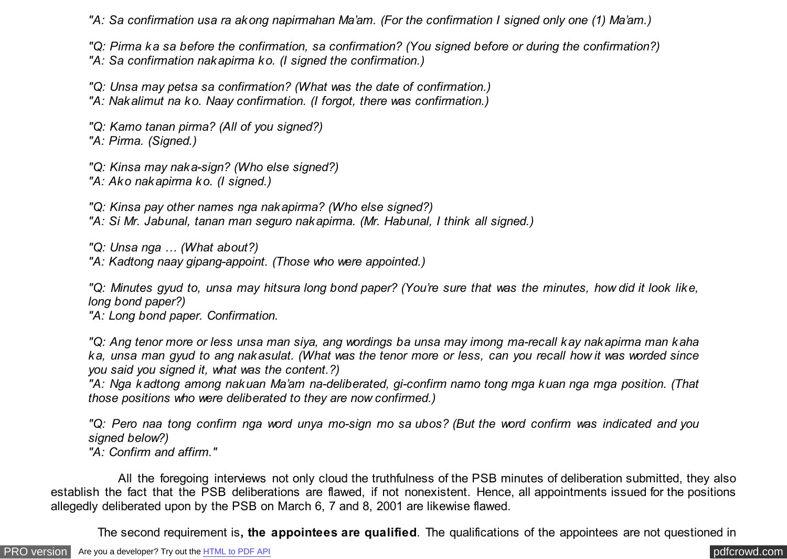*"A: Sa confirmation usa ra akong napirmahan Ma'am. (For the confirmation I signed only one (1) Ma'am.)*

*"Q: Pirma ka sa before the confirmation, sa confirmation? (You signed before or during the confirmation?) "A: Sa confirmation nakapirma ko. (I signed the confirmation.)*

*"Q: Unsa may petsa sa confirmation? (What was the date of confirmation.) "A: Nakalimut na ko. Naay confirmation. (I forgot, there was confirmation.)*

*"Q: Kamo tanan pirma? (All of you signed?) "A: Pirma. (Signed.)*

*"Q: Kinsa may naka-sign? (Who else signed?)*

*"A: Ako nakapirma ko. (I signed.)*

*"Q: Kinsa pay other names nga nakapirma? (Who else signed?)*

*"A: Si Mr. Jabunal, tanan man seguro nakapirma. (Mr. Habunal, I think all signed.)*

*"Q: Unsa nga … (What about?)*

*"A: Kadtong naay gipang-appoint. (Those who were appointed.)*

*"Q: Minutes gyud to, unsa may hitsura long bond paper? (You're sure that was the minutes, how did it look like, long bond paper?)*

*"A: Long bond paper. Confirmation.*

*"Q: Ang tenor more or less unsa man siya, ang wordings ba unsa may imong ma-recall kay nakapirma man kaha ka, unsa man gyud to ang nakasulat. (What was the tenor more or less, can you recall how it was worded since you said you signed it, what was the content.?)*

*"A: Nga kadtong among nakuan Ma'am na-deliberated, gi-confirm namo tong mga kuan nga mga position. (That those positions who were deliberated to they are now confirmed.)*

*"Q: Pero naa tong confirm nga word unya mo-sign mo sa ubos? (But the word confirm was indicated and you signed below?)*

*"A: Confirm and affirm."*

 All the foregoing interviews not only cloud the truthfulness of the PSB minutes of deliberation submitted, they also establish the fact that the PSB deliberations are flawed, if not nonexistent. Hence, all appointments issued for the positions allegedly deliberated upon by the PSB on March 6, 7 and 8, 2001 are likewise flawed.

The second requirement is**, the appointees are qualified**. The qualifications of the appointees are not questioned in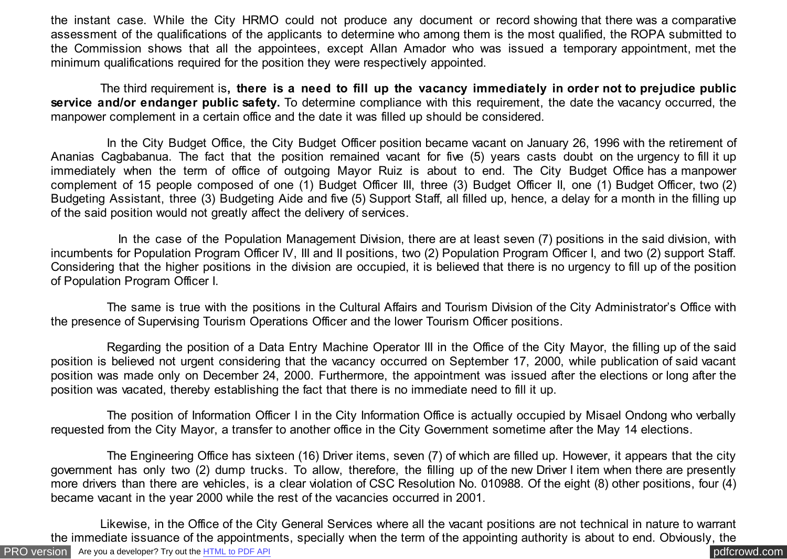the instant case. While the City HRMO could not produce any document or record showing that there was a comparative assessment of the qualifications of the applicants to determine who among them is the most qualified, the ROPA submitted to the Commission shows that all the appointees, except Allan Amador who was issued a temporary appointment, met the minimum qualifications required for the position they were respectively appointed.

 The third requirement is**, there is a need to fill up the vacancy immediately in order not to prejudice public service and/or endanger public safety.** To determine compliance with this requirement, the date the vacancy occurred, the manpower complement in a certain office and the date it was filled up should be considered.

 In the City Budget Office, the City Budget Officer position became vacant on January 26, 1996 with the retirement of Ananias Cagbabanua. The fact that the position remained vacant for five (5) years casts doubt on the urgency to fill it up immediately when the term of office of outgoing Mayor Ruiz is about to end. The City Budget Office has a manpower complement of 15 people composed of one (1) Budget Officer III, three (3) Budget Officer II, one (1) Budget Officer, two (2) Budgeting Assistant, three (3) Budgeting Aide and five (5) Support Staff, all filled up, hence, a delay for a month in the filling up of the said position would not greatly affect the delivery of services.

 In the case of the Population Management Division, there are at least seven (7) positions in the said division, with incumbents for Population Program Officer IV, III and II positions, two (2) Population Program Officer I, and two (2) support Staff. Considering that the higher positions in the division are occupied, it is believed that there is no urgency to fill up of the position of Population Program Officer I.

 The same is true with the positions in the Cultural Affairs and Tourism Division of the City Administrator's Office with the presence of Supervising Tourism Operations Officer and the lower Tourism Officer positions.

 Regarding the position of a Data Entry Machine Operator III in the Office of the City Mayor, the filling up of the said position is believed not urgent considering that the vacancy occurred on September 17, 2000, while publication of said vacant position was made only on December 24, 2000. Furthermore, the appointment was issued after the elections or long after the position was vacated, thereby establishing the fact that there is no immediate need to fill it up.

 The position of Information Officer I in the City Information Office is actually occupied by Misael Ondong who verbally requested from the City Mayor, a transfer to another office in the City Government sometime after the May 14 elections.

 The Engineering Office has sixteen (16) Driver items, seven (7) of which are filled up. However, it appears that the city government has only two (2) dump trucks. To allow, therefore, the filling up of the new Driver I item when there are presently more drivers than there are vehicles, is a clear violation of CSC Resolution No. 010988. Of the eight (8) other positions, four (4) became vacant in the year 2000 while the rest of the vacancies occurred in 2001.

[PRO version](http://pdfcrowd.com/customize/) Are you a developer? Try out th[e HTML to PDF API](http://pdfcrowd.com/html-to-pdf-api/?ref=pdf) compared to the comparison of the HTML to PDF API Likewise, in the Office of the City General Services where all the vacant positions are not technical in nature to warrant the immediate issuance of the appointments, specially when the term of the appointing authority is about to end. Obviously, the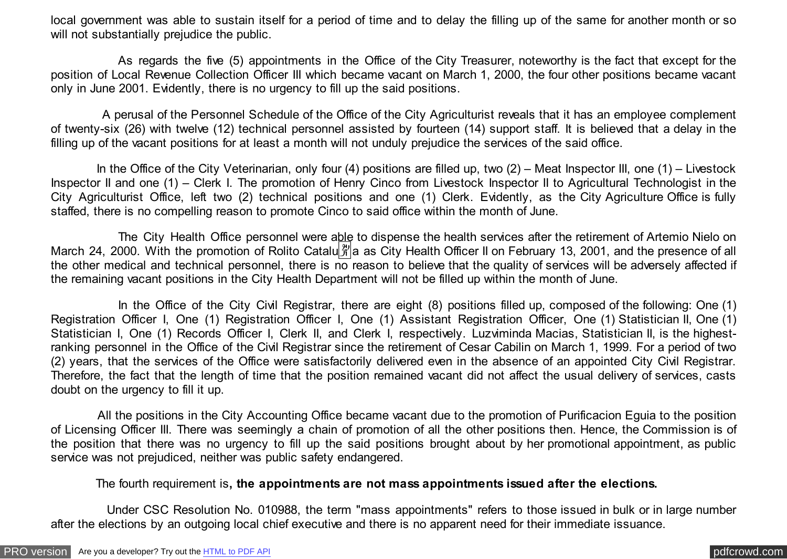local government was able to sustain itself for a period of time and to delay the filling up of the same for another month or so will not substantially prejudice the public.

 As regards the five (5) appointments in the Office of the City Treasurer, noteworthy is the fact that except for the position of Local Revenue Collection Officer III which became vacant on March 1, 2000, the four other positions became vacant only in June 2001. Evidently, there is no urgency to fill up the said positions.

 A perusal of the Personnel Schedule of the Office of the City Agriculturist reveals that it has an employee complement of twenty-six (26) with twelve (12) technical personnel assisted by fourteen (14) support staff. It is believed that a delay in the filling up of the vacant positions for at least a month will not unduly prejudice the services of the said office.

 In the Office of the City Veterinarian, only four (4) positions are filled up, two (2) – Meat Inspector III, one (1) – Livestock Inspector II and one (1) – Clerk I. The promotion of Henry Cinco from Livestock Inspector II to Agricultural Technologist in the City Agriculturist Office, left two (2) technical positions and one (1) Clerk. Evidently, as the City Agriculture Office is fully staffed, there is no compelling reason to promote Cinco to said office within the month of June.

 The City Health Office personnel were able to dispense the health services after the retirement of Artemio Nielo on March 24, 2000. With the promotion of Rolito Catalu  $\frac{24}{10}$  as City Health Officer II on February 13, 2001, and the presence of all the other medical and technical personnel, there is no reason to believe that the quality of services will be adversely affected if the remaining vacant positions in the City Health Department will not be filled up within the month of June.

In the Office of the City Civil Registrar, there are eight (8) positions filled up, composed of the following: One (1) Registration Officer I, One (1) Registration Officer I, One (1) Assistant Registration Officer, One (1) Statistician II, One (1) Statistician I, One (1) Records Officer I, Clerk II, and Clerk I, respectively. Luzviminda Macias, Statistician II, is the highestranking personnel in the Office of the Civil Registrar since the retirement of Cesar Cabilin on March 1, 1999. For a period of two (2) years, that the services of the Office were satisfactorily delivered even in the absence of an appointed City Civil Registrar. Therefore, the fact that the length of time that the position remained vacant did not affect the usual delivery of services, casts doubt on the urgency to fill it up.

 All the positions in the City Accounting Office became vacant due to the promotion of Purificacion Eguia to the position of Licensing Officer III. There was seemingly a chain of promotion of all the other positions then. Hence, the Commission is of the position that there was no urgency to fill up the said positions brought about by her promotional appointment, as public service was not prejudiced, neither was public safety endangered.

The fourth requirement is**, the appointments are not mass appointments issued after the elections.**

 Under CSC Resolution No. 010988, the term "mass appointments" refers to those issued in bulk or in large number after the elections by an outgoing local chief executive and there is no apparent need for their immediate issuance.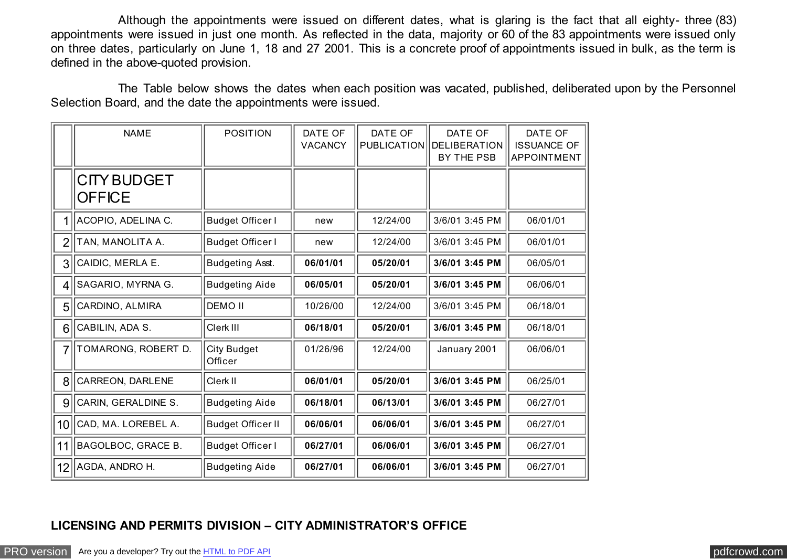Although the appointments were issued on different dates, what is glaring is the fact that all eighty- three (83) appointments were issued in just one month. As reflected in the data, majority or 60 of the 83 appointments were issued only on three dates, particularly on June 1, 18 and 27 2001. This is a concrete proof of appointments issued in bulk, as the term is defined in the above-quoted provision.

 The Table below shows the dates when each position was vacated, published, deliberated upon by the Personnel Selection Board, and the date the appointments were issued.

|                 | <b>NAME</b>                         | <b>POSITION</b>               | DATE OF<br><b>VACANCY</b> | DATE OF  | DATE OF<br>PUBLICATION DELIBERATION<br>BY THE PSB | DATE OF<br><b>ISSUANCE OF</b><br><b>APPOINTMENT</b> |
|-----------------|-------------------------------------|-------------------------------|---------------------------|----------|---------------------------------------------------|-----------------------------------------------------|
|                 | <b>CITY BUDGET</b><br><b>OFFICE</b> |                               |                           |          |                                                   |                                                     |
| 1               | ACOPIO, ADELINA C.                  | <b>Budget Officer I</b>       | new                       | 12/24/00 | 3/6/01 3:45 PM                                    | 06/01/01                                            |
| $\overline{2}$  | TAN, MANOLITA A.                    | <b>Budget Officer I</b>       | new                       | 12/24/00 | 3/6/01 3:45 PM                                    | 06/01/01                                            |
| 3               | CAIDIC, MERLA E.                    | Budgeting Asst.               | 06/01/01                  | 05/20/01 | 3/6/01 3:45 PM                                    | 06/05/01                                            |
| 4               | SAGARIO, MYRNA G.                   | <b>Budgeting Aide</b>         | 06/05/01                  | 05/20/01 | 3/6/01 3:45 PM                                    | 06/06/01                                            |
| 5               | CARDINO, ALMIRA                     | <b>DEMO II</b>                | 10/26/00                  | 12/24/00 | 3/6/01 3:45 PM                                    | 06/18/01                                            |
| 6               | CABILIN, ADA S.                     | Clerk III                     | 06/18/01                  | 05/20/01 | 3/6/01 3:45 PM                                    | 06/18/01                                            |
| $\overline{7}$  | TOMARONG, ROBERT D.                 | <b>City Budget</b><br>Officer | 01/26/96                  | 12/24/00 | January 2001                                      | 06/06/01                                            |
| 8               | CARREON, DARLENE                    | Clerk <sub>II</sub>           | 06/01/01                  | 05/20/01 | 3/6/01 3:45 PM                                    | 06/25/01                                            |
| 9               | CARIN, GERALDINE S.                 | <b>Budgeting Aide</b>         | 06/18/01                  | 06/13/01 | 3/6/01 3:45 PM                                    | 06/27/01                                            |
| 10 <sup>1</sup> | CAD, MA. LOREBEL A.                 | <b>Budget Officer II</b>      | 06/06/01                  | 06/06/01 | 3/6/01 3:45 PM                                    | 06/27/01                                            |
| 11              | BAGOLBOC, GRACE B.                  | Budget Officer I              | 06/27/01                  | 06/06/01 | 3/6/01 3:45 PM                                    | 06/27/01                                            |
| 12              | AGDA, ANDRO H.                      | <b>Budgeting Aide</b>         | 06/27/01                  | 06/06/01 | 3/6/01 3:45 PM                                    | 06/27/01                                            |

# **LICENSING AND PERMITS DIVISION – CITY ADMINISTRATOR'S OFFICE**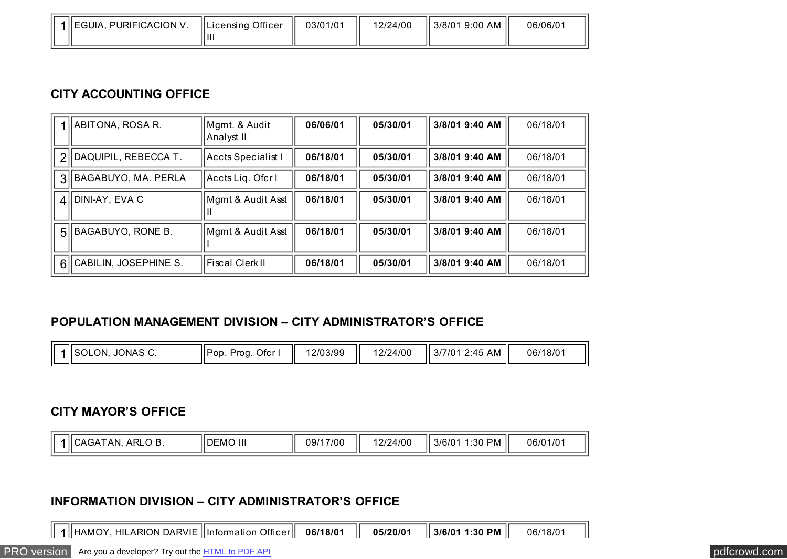| <b>PURIFICACION V.</b><br>IEGUIA. | Licensing Officer | 03/01/01 | 12/24/00 | 3/8/01 9:00 AM | 06/06/01 |
|-----------------------------------|-------------------|----------|----------|----------------|----------|
|                                   |                   |          |          |                |          |

# **CITY ACCOUNTING OFFICE**

|              | ABITONA, ROSA R.        | Mgmt. & Audit<br>Analyst II | 06/06/01 | 05/30/01 | 3/8/01 9:40 AM | 06/18/01 |
|--------------|-------------------------|-----------------------------|----------|----------|----------------|----------|
|              | DAQUIPIL, REBECCA T.    | Accts Specialist I          | 06/18/01 | 05/30/01 | 3/8/01 9:40 AM | 06/18/01 |
| $\mathbf{B}$ | BAGABUYO, MA. PERLA     | Accts Lig. Ofcr I           | 06/18/01 | 05/30/01 | 3/8/01 9:40 AM | 06/18/01 |
|              | $4$ DINI-AY, EVA C      | Mgmt & Audit Asst           | 06/18/01 | 05/30/01 | 3/8/01 9:40 AM | 06/18/01 |
| 5            | BAGABUYO, RONE B.       | Mgmt & Audit Asst           | 06/18/01 | 05/30/01 | 3/8/01 9:40 AM | 06/18/01 |
|              | 6 CABILIN, JOSEPHINE S. | Fiscal Clerk II             | 06/18/01 | 05/30/01 | 3/8/01 9:40 AM | 06/18/01 |

### **POPULATION MANAGEMENT DIVISION – CITY ADMINISTRATOR'S OFFICE**

| 1IISOLON. .<br>JONAS ′ | Ofcr<br>IPop. Prog. | 12/03/99 | 12/24/00 | 2:45 AM<br>3/7/01 | 06/18/0 |
|------------------------|---------------------|----------|----------|-------------------|---------|

### **CITY MAYOR'S OFFICE**

| ARL<br>. CAGA '<br>AN.<br>. پ | DEMO III | 17/00<br>09/1 | 12/24/00 | PM<br>3/6/01<br>1:30 | 06/01/01 |
|-------------------------------|----------|---------------|----------|----------------------|----------|
|                               |          |               |          |                      |          |

# **INFORMATION DIVISION – CITY ADMINISTRATOR'S OFFICE**

1 HAMOY, HILARION DARVIE Information Officer **06/18/01 05/20/01 3/6/01 1:30 PM** 06/18/01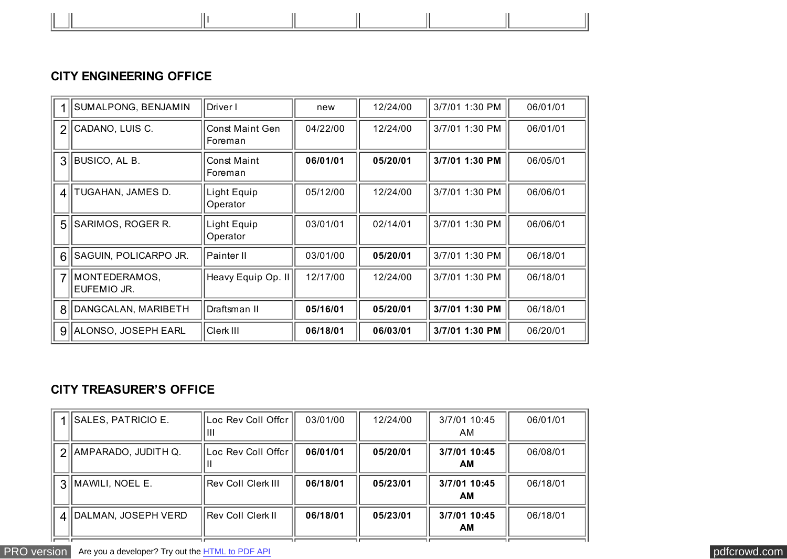| <b>CITY ENGINEERING OFFICE</b> |  |
|--------------------------------|--|
|--------------------------------|--|

I

|   | SUMALPONG, BENJAMIN          | Driver I                          | new      | 12/24/00 | 3/7/01 1:30 PM | 06/01/01 |
|---|------------------------------|-----------------------------------|----------|----------|----------------|----------|
| 2 | CADANO, LUIS C.              | <b>Const Maint Gen</b><br>Foreman | 04/22/00 | 12/24/00 | 3/7/01 1:30 PM | 06/01/01 |
| 3 | BUSICO, AL B.                | <b>Const Maint</b><br>Foreman     | 06/01/01 | 05/20/01 | 3/7/01 1:30 PM | 06/05/01 |
|   | 4   TUGAHAN, JAMES D.        | Light Equip<br>Operator           | 05/12/00 | 12/24/00 | 3/7/01 1:30 PM | 06/06/01 |
| 5 | SARIMOS, ROGER R.            | Light Equip<br>Operator           | 03/01/01 | 02/14/01 | 3/7/01 1:30 PM | 06/06/01 |
| 6 | SAGUIN, POLICARPO JR.        | l Painter II                      | 03/01/00 | 05/20/01 | 3/7/01 1:30 PM | 06/18/01 |
|   | MONTEDERAMOS,<br>EUFEMIO JR. | Heavy Equip Op. II                | 12/17/00 | 12/24/00 | 3/7/01 1:30 PM | 06/18/01 |
| 8 | DANGCALAN, MARIBETH          | Draftsman II                      | 05/16/01 | 05/20/01 | 3/7/01 1:30 PM | 06/18/01 |
| 9 | ALONSO, JOSEPH EARL          | Clerk III                         | 06/18/01 | 06/03/01 | 3/7/01 1:30 PM | 06/20/01 |

# **CITY TREASURER'S OFFICE**

| SALES, PATRICIO E.      | Loc Rev Coll Offcr<br>Ш   | 03/01/00 | 12/24/00 | 3/7/01 10:45<br>AM | 06/01/01 |
|-------------------------|---------------------------|----------|----------|--------------------|----------|
| 2 AMPARADO, JUDITH Q.   | Loc Rev Coll Offer        | 06/01/01 | 05/20/01 | 3/7/01 10:45<br>AМ | 06/08/01 |
| 3    MAWILI, NOEL E.    | <b>Rev Coll Clerk III</b> | 06/18/01 | 05/23/01 | 3/7/01 10:45<br>AМ | 06/18/01 |
| 4   DALMAN, JOSEPH VERD | <b>Rev Coll Clerk II</b>  | 06/18/01 | 05/23/01 | 3/7/01 10:45<br>AМ | 06/18/01 |

[PRO version](http://pdfcrowd.com/customize/) Are you a developer? Try out the **HTML to PDF API [pdfcrowd.com](http://pdfcrowd.com)**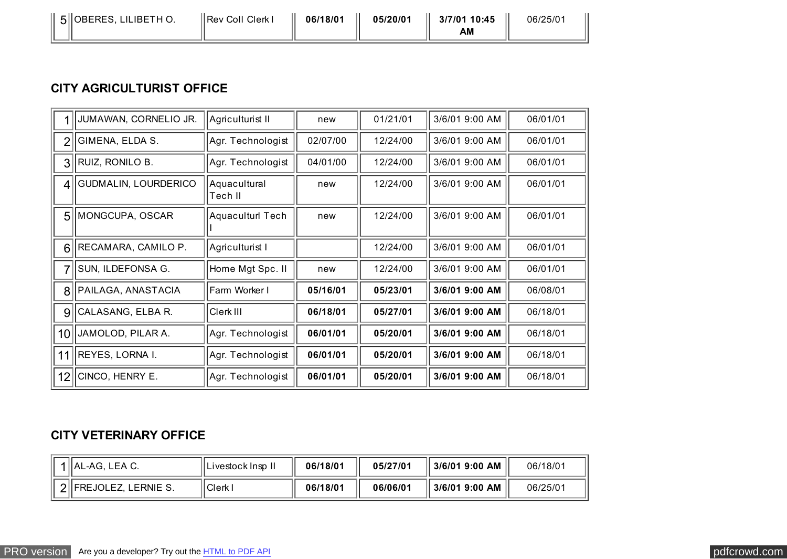| 5 OBERES, LILIBETH O. | Rev Coll Clerk I |  |    | 06/25/01 |
|-----------------------|------------------|--|----|----------|
|                       |                  |  | ΑM |          |

# **CITY AGRICULTURIST OFFICE**

|                 | JUMAWAN, CORNELIO JR.       | Agriculturist II        | new      | 01/21/01 | 3/6/01 9:00 AM | 06/01/01 |
|-----------------|-----------------------------|-------------------------|----------|----------|----------------|----------|
| $\overline{2}$  | GIMENA, ELDA S.             | Agr. Technologist       | 02/07/00 | 12/24/00 | 3/6/01 9:00 AM | 06/01/01 |
| 3               | RUIZ, RONILO B.             | Agr. Technologist       | 04/01/00 | 12/24/00 | 3/6/01 9:00 AM | 06/01/01 |
| 4               | <b>GUDMALIN, LOURDERICO</b> | Aquacultural<br>Tech II | new      | 12/24/00 | 3/6/01 9:00 AM | 06/01/01 |
| 5               | MONGCUPA, OSCAR             | <b>Aquaculturl Tech</b> | new      | 12/24/00 | 3/6/01 9:00 AM | 06/01/01 |
| 6               | RECAMARA, CAMILO P.         | Agriculturist I         |          | 12/24/00 | 3/6/01 9:00 AM | 06/01/01 |
| 7               | SUN, ILDEFONSA G.           | Home Mgt Spc. II        | new      | 12/24/00 | 3/6/01 9:00 AM | 06/01/01 |
| 8               | PAILAGA, ANASTACIA          | Farm Worker I           | 05/16/01 | 05/23/01 | 3/6/01 9:00 AM | 06/08/01 |
| 9               | CALASANG, ELBA R.           | Clerk III               | 06/18/01 | 05/27/01 | 3/6/01 9:00 AM | 06/18/01 |
| 10 <sup>1</sup> | JAMOLOD, PILAR A.           | Agr. Technologist       | 06/01/01 | 05/20/01 | 3/6/01 9:00 AM | 06/18/01 |
| 11              | REYES, LORNA I.             | Agr. Technologist       | 06/01/01 | 05/20/01 | 3/6/01 9:00 AM | 06/18/01 |
| 12              | CINCO, HENRY E.             | Agr. Technologist       | 06/01/01 | 05/20/01 | 3/6/01 9:00 AM | 06/18/01 |

# **CITY VETERINARY OFFICE**

| IAL-AG, LEA C.        | llLivestock Inso II | 06/18/01 | 05/27/01 | 3/6/01 9:00 AM | 06/18/01 |
|-----------------------|---------------------|----------|----------|----------------|----------|
| 2 FREJOLEZ, LERNIE S. | $ Cl$ erk l         | 06/18/01 | 06/06/01 | 3/6/01 9:00 AM | 06/25/01 |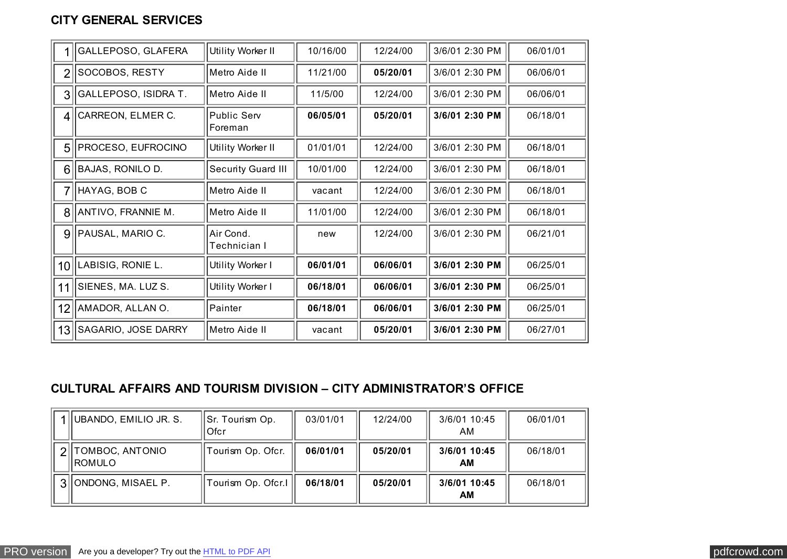### **CITY GENERAL SERVICES**

|                 | GALLEPOSO, GLAFERA         | <b>Utility Worker II</b>  | 10/16/00 | 12/24/00 | 3/6/01 2:30 PM | 06/01/01 |
|-----------------|----------------------------|---------------------------|----------|----------|----------------|----------|
| 2               | SOCOBOS, RESTY             | Metro Aide II             | 11/21/00 | 05/20/01 | 3/6/01 2:30 PM | 06/06/01 |
| 3               | GALLEPOSO, ISIDRA T.       | lMetro Aide II            | 11/5/00  | 12/24/00 | 3/6/01 2:30 PM | 06/06/01 |
| 4               | CARREON, ELMER C.          | Public Serv<br>Foreman    | 06/05/01 | 05/20/01 | 3/6/01 2:30 PM | 06/18/01 |
| 5               | PROCESO, EUFROCINO         | <b>Utility Worker II</b>  | 01/01/01 | 12/24/00 | 3/6/01 2:30 PM | 06/18/01 |
| 6               | <b>BAJAS, RONILO D.</b>    | <b>Security Guard III</b> | 10/01/00 | 12/24/00 | 3/6/01 2:30 PM | 06/18/01 |
| 7               | HAYAG, BOB C               | Metro Aide II             | vacant   | 12/24/00 | 3/6/01 2:30 PM | 06/18/01 |
| $\mathbf{8}$    | ANTIVO, FRANNIE M.         | lMetro Aide II            | 11/01/00 | 12/24/00 | 3/6/01 2:30 PM | 06/18/01 |
| 9               | PAUSAL, MARIO C.           | Air Cond.<br>Technician I | new      | 12/24/00 | 3/6/01 2:30 PM | 06/21/01 |
| 10 <sup>1</sup> | LABISIG, RONIE L.          | <b>Utility Worker I</b>   | 06/01/01 | 06/06/01 | 3/6/01 2:30 PM | 06/25/01 |
| 11              | SIENES, MA. LUZ S.         | Utility Worker I          | 06/18/01 | 06/06/01 | 3/6/01 2:30 PM | 06/25/01 |
| 12 <sup>2</sup> | AMADOR, ALLAN O.           | Painter                   | 06/18/01 | 06/06/01 | 3/6/01 2:30 PM | 06/25/01 |
| 13 <sup>1</sup> | <b>SAGARIO, JOSE DARRY</b> | Metro Aide II             | vacant   | 05/20/01 | 3/6/01 2:30 PM | 06/27/01 |

### **CULTURAL AFFAIRS AND TOURISM DIVISION – CITY ADMINISTRATOR'S OFFICE**

| 1 ∐UBANDO, EMILIO JR. S.    | Sr. Tourism Op.<br>l Ofcr | 03/01/01 | 12/24/00 | 3/6/01 10:45<br>AM | 06/01/01 |
|-----------------------------|---------------------------|----------|----------|--------------------|----------|
| TOMBOC, ANTONIO<br>iiromulo | Tourism Op. Ofcr.         | 06/01/01 | 05/20/01 | 3/6/01 10:45<br>AM | 06/18/01 |
| 3 ONDONG, MISAEL P.         | Tourism Op. Ofcr.I        | 06/18/01 | 05/20/01 | 3/6/01 10:45<br>AM | 06/18/01 |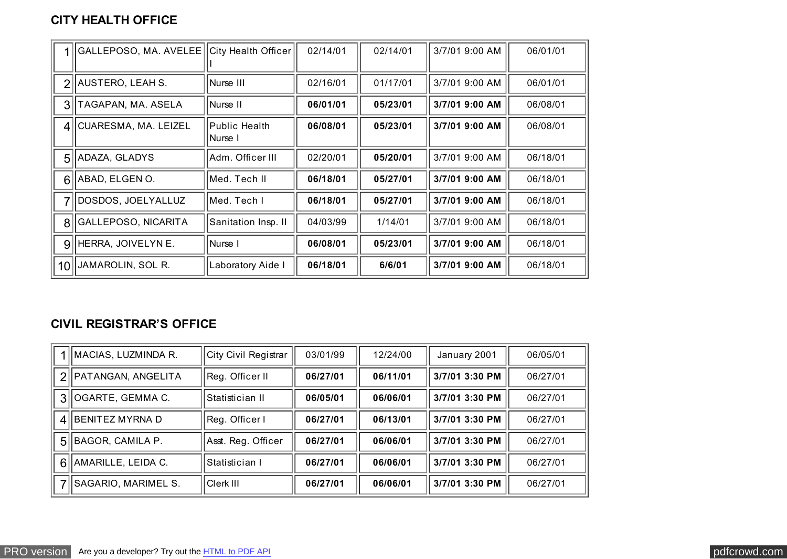### **CITY HEALTH OFFICE**

|                 | GALLEPOSO, MA. AVELEE City Health Officer |                          | 02/14/01 | 02/14/01 | 3/7/01 9:00 AM | 06/01/01 |
|-----------------|-------------------------------------------|--------------------------|----------|----------|----------------|----------|
| $\overline{2}$  | AUSTERO, LEAH S.                          | Nurse III                | 02/16/01 | 01/17/01 | 3/7/01 9:00 AM | 06/01/01 |
| 3               | TAGAPAN, MA. ASELA                        | Nurse II                 | 06/01/01 | 05/23/01 | 3/7/01 9:00 AM | 06/08/01 |
| 4               | CUARESMA, MA. LEIZEL                      | Public Health<br>Nurse I | 06/08/01 | 05/23/01 | 3/7/01 9:00 AM | 06/08/01 |
| 5               | ADAZA, GLADYS                             | Adm. Officer III         | 02/20/01 | 05/20/01 | 3/7/01 9:00 AM | 06/18/01 |
| $6 \mid$        | ABAD, ELGEN O.                            | lMed. Tech II            | 06/18/01 | 05/27/01 | 3/7/01 9:00 AM | 06/18/01 |
| 7               | DOSDOS, JOELYALLUZ                        | Med. Tech I              | 06/18/01 | 05/27/01 | 3/7/01 9:00 AM | 06/18/01 |
| 8               | GALLEPOSO, NICARITA                       | Sanitation Insp. II      | 04/03/99 | 1/14/01  | 3/7/01 9:00 AM | 06/18/01 |
| $\overline{9}$  | HERRA, JOIVELYN E.                        | Nurse I                  | 06/08/01 | 05/23/01 | 3/7/01 9:00 AM | 06/18/01 |
| 10 <sup>1</sup> | JAMAROLIN, SOL R.                         | Laboratory Aide I        | 06/18/01 | 6/6/01   | 3/7/01 9:00 AM | 06/18/01 |

# **CIVIL REGISTRAR'S OFFICE**

| MACIAS, LUZMINDA R.      | City Civil Registrar | 03/01/99 | 12/24/00 | January 2001   | 06/05/01 |
|--------------------------|----------------------|----------|----------|----------------|----------|
| 2   PATANGAN, ANGELITA   | Reg. Officer II      | 06/27/01 | 06/11/01 | 3/7/01 3:30 PM | 06/27/01 |
| 3   OGARTE, GEMMA C.     | Statistician II      | 06/05/01 | 06/06/01 | 3/7/01 3:30 PM | 06/27/01 |
| 4 BENITEZ MYRNA D        | Reg. Officer I       | 06/27/01 | 06/13/01 | 3/7/01 3:30 PM | 06/27/01 |
| $5$   BAGOR, CAMILA P.   | Asst. Reg. Officer   | 06/27/01 | 06/06/01 | 3/7/01 3:30 PM | 06/27/01 |
| $6$   AMARILLE, LEIDA C. | Statistician I       | 06/27/01 | 06/06/01 | 3/7/01 3:30 PM | 06/27/01 |
| SAGARIO, MARIMEL S.      | Clerk III            | 06/27/01 | 06/06/01 | 3/7/01 3:30 PM | 06/27/01 |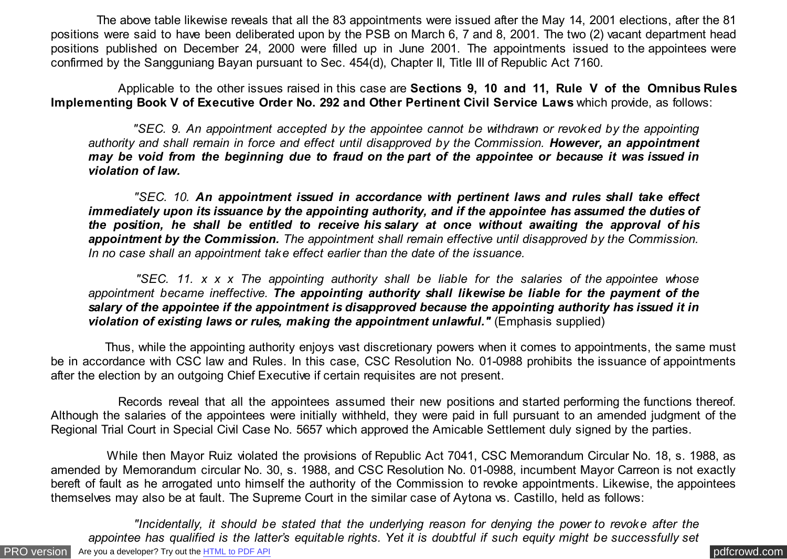The above table likewise reveals that all the 83 appointments were issued after the May 14, 2001 elections, after the 81 positions were said to have been deliberated upon by the PSB on March 6, 7 and 8, 2001. The two (2) vacant department head positions published on December 24, 2000 were filled up in June 2001. The appointments issued to the appointees were confirmed by the Sangguniang Bayan pursuant to Sec. 454(d), Chapter II, Title III of Republic Act 7160.

 Applicable to the other issues raised in this case are **Sections 9, 10 and 11, Rule V of the Omnibus Rules Implementing Book V of Executive Order No. 292 and Other Pertinent Civil Service Laws** which provide, as follows:

 *"SEC. 9. An appointment accepted by the appointee cannot be withdrawn or revoked by the appointing authority and shall remain in force and effect until disapproved by the Commission. However, an appointment may be void from the beginning due to fraud on the part of the appointee or because it was issued in violation of law.*

 *"SEC. 10. An appointment issued in accordance with pertinent laws and rules shall take effect immediately upon its issuance by the appointing authority, and if the appointee has assumed the duties of the position, he shall be entitled to receive his salary at once without awaiting the approval of his appointment by the Commission. The appointment shall remain effective until disapproved by the Commission. In no case shall an appointment take effect earlier than the date of the issuance.*

 *"SEC. 11. x x x The appointing authority shall be liable for the salaries of the appointee whose appointment became ineffective. The appointing authority shall likewise be liable for the payment of the salary of the appointee if the appointment is disapproved because the appointing authority has issued it in violation of existing laws or rules, making the appointment unlawful."* (Emphasis supplied)

 Thus, while the appointing authority enjoys vast discretionary powers when it comes to appointments, the same must be in accordance with CSC law and Rules. In this case, CSC Resolution No. 01-0988 prohibits the issuance of appointments after the election by an outgoing Chief Executive if certain requisites are not present.

 Records reveal that all the appointees assumed their new positions and started performing the functions thereof. Although the salaries of the appointees were initially withheld, they were paid in full pursuant to an amended judgment of the Regional Trial Court in Special Civil Case No. 5657 which approved the Amicable Settlement duly signed by the parties.

 While then Mayor Ruiz violated the provisions of Republic Act 7041, CSC Memorandum Circular No. 18, s. 1988, as amended by Memorandum circular No. 30, s. 1988, and CSC Resolution No. 01-0988, incumbent Mayor Carreon is not exactly bereft of fault as he arrogated unto himself the authority of the Commission to revoke appointments. Likewise, the appointees themselves may also be at fault. The Supreme Court in the similar case of Aytona vs. Castillo, held as follows:

[PRO version](http://pdfcrowd.com/customize/) Are you a developer? Try out th[e HTML to PDF API](http://pdfcrowd.com/html-to-pdf-api/?ref=pdf) process and the community of the HTML to PDF API posterior and the community of the community of the community of the community of the community of the community  *"Incidentally, it should be stated that the underlying reason for denying the power to revoke after the appointee has qualified is the latter's equitable rights. Yet it is doubtful if such equity might be successfully set*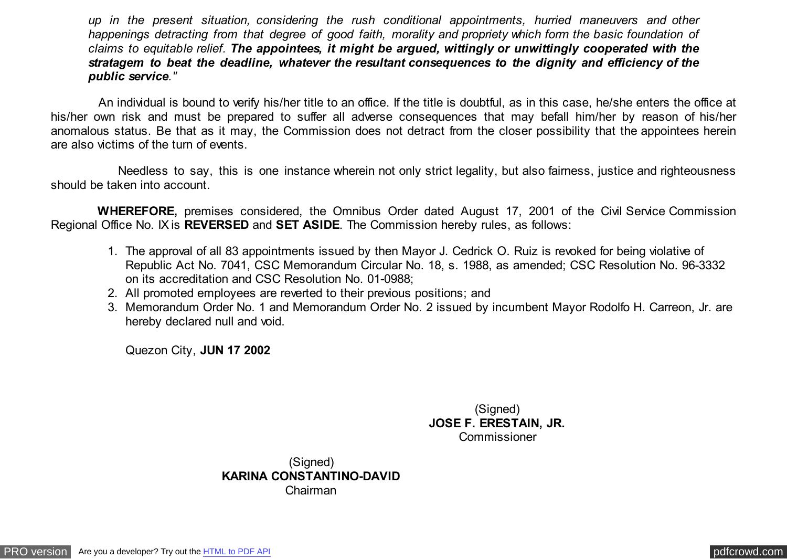*up in the present situation, considering the rush conditional appointments, hurried maneuvers and other happenings detracting from that degree of good faith, morality and propriety which form the basic foundation of claims to equitable relief. The appointees, it might be argued, wittingly or unwittingly cooperated with the stratagem to beat the deadline, whatever the resultant consequences to the dignity and efficiency of the public service."*

 An individual is bound to verify his/her title to an office. If the title is doubtful, as in this case, he/she enters the office at his/her own risk and must be prepared to suffer all adverse consequences that may befall him/her by reason of his/her anomalous status. Be that as it may, the Commission does not detract from the closer possibility that the appointees herein are also victims of the turn of events.

 Needless to say, this is one instance wherein not only strict legality, but also fairness, justice and righteousness should be taken into account.

 **WHEREFORE,** premises considered, the Omnibus Order dated August 17, 2001 of the Civil Service Commission Regional Office No. IX is **REVERSED** and **SET ASIDE**. The Commission hereby rules, as follows:

- 1. The approval of all 83 appointments issued by then Mayor J. Cedrick O. Ruiz is revoked for being violative of Republic Act No. 7041, CSC Memorandum Circular No. 18, s. 1988, as amended; CSC Resolution No. 96-3332 on its accreditation and CSC Resolution No. 01-0988;
- 2. All promoted employees are reverted to their previous positions; and
- 3. Memorandum Order No. 1 and Memorandum Order No. 2 issued by incumbent Mayor Rodolfo H. Carreon, Jr. are hereby declared null and void.

Quezon City, **JUN 17 2002**

(Signed) **JOSE F. ERESTAIN, JR.** Commissioner

(Signed) **KARINA CONSTANTINO-DAVID** Chairman

[PRO version](http://pdfcrowd.com/customize/) Are you a developer? Try out th[e HTML to PDF API](http://pdfcrowd.com/html-to-pdf-api/?ref=pdf) provided and the example of the HTML to PDF API [pdfcrowd.com](http://pdfcrowd.com)